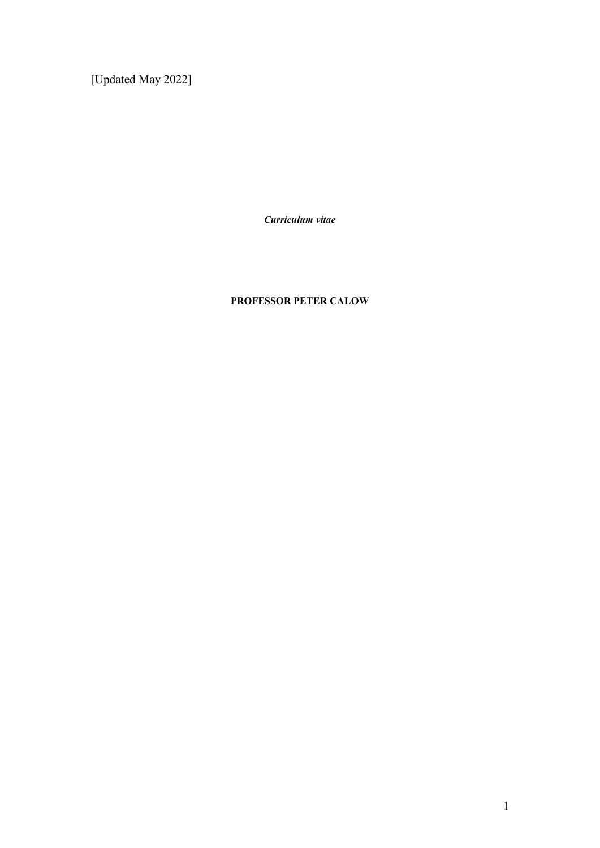[Updated May 2022]

*Curriculum vitae*

## **PROFESSOR PETER CALOW**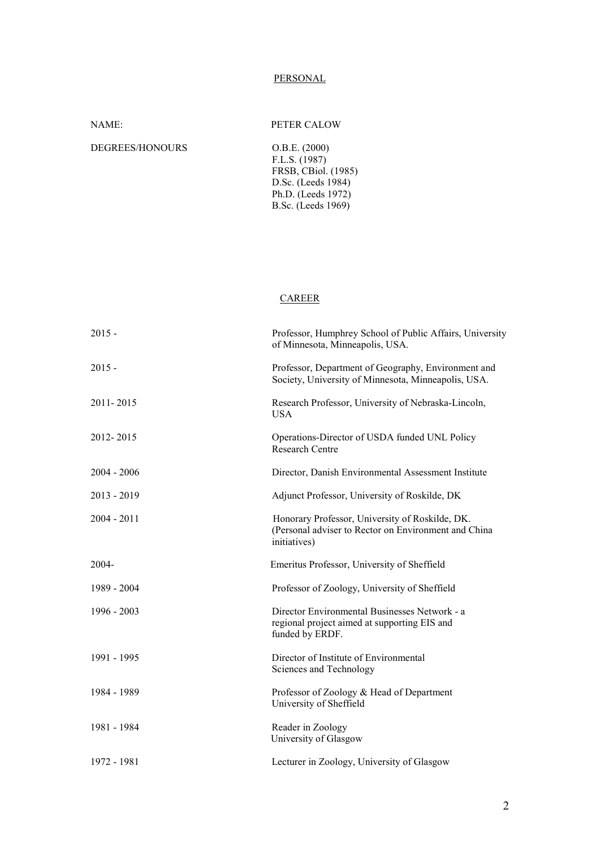#### **PERSONAL**

F.L.S. (1987)

D.Sc. (Leeds 1984)

NAME: PETER CALOW

FRSB, CBiol. (1985)

Ph.D. (Leeds 1972)

DEGREES/HONOURS O.B.E. (2000)

|               | B.Sc. (Leeds 1969)                                                                                                      |
|---------------|-------------------------------------------------------------------------------------------------------------------------|
|               |                                                                                                                         |
|               |                                                                                                                         |
|               |                                                                                                                         |
|               | <u>CAREER</u>                                                                                                           |
| $2015 -$      | Professor, Humphrey School of Public Affairs, University<br>of Minnesota, Minneapolis, USA.                             |
| $2015 -$      | Professor, Department of Geography, Environment and<br>Society, University of Minnesota, Minneapolis, USA.              |
| 2011-2015     | Research Professor, University of Nebraska-Lincoln,<br><b>USA</b>                                                       |
| 2012-2015     | Operations-Director of USDA funded UNL Policy<br>Research Centre                                                        |
| $2004 - 2006$ | Director, Danish Environmental Assessment Institute                                                                     |
| $2013 - 2019$ | Adjunct Professor, University of Roskilde, DK                                                                           |
| $2004 - 2011$ | Honorary Professor, University of Roskilde, DK.<br>(Personal adviser to Rector on Environment and China<br>initiatives) |
| 2004-         | Emeritus Professor, University of Sheffield                                                                             |
| 1989 - 2004   | Professor of Zoology, University of Sheffield                                                                           |
| 1996 - 2003   | Director Environmental Businesses Network - a<br>regional project aimed at supporting EIS and<br>funded by ERDF.        |
| 1991 - 1995   | Director of Institute of Environmental<br>Sciences and Technology                                                       |
| 1984 - 1989   | Professor of Zoology & Head of Department<br>University of Sheffield                                                    |
| 1981 - 1984   | Reader in Zoology<br>University of Glasgow                                                                              |
| 1972 - 1981   | Lecturer in Zoology, University of Glasgow                                                                              |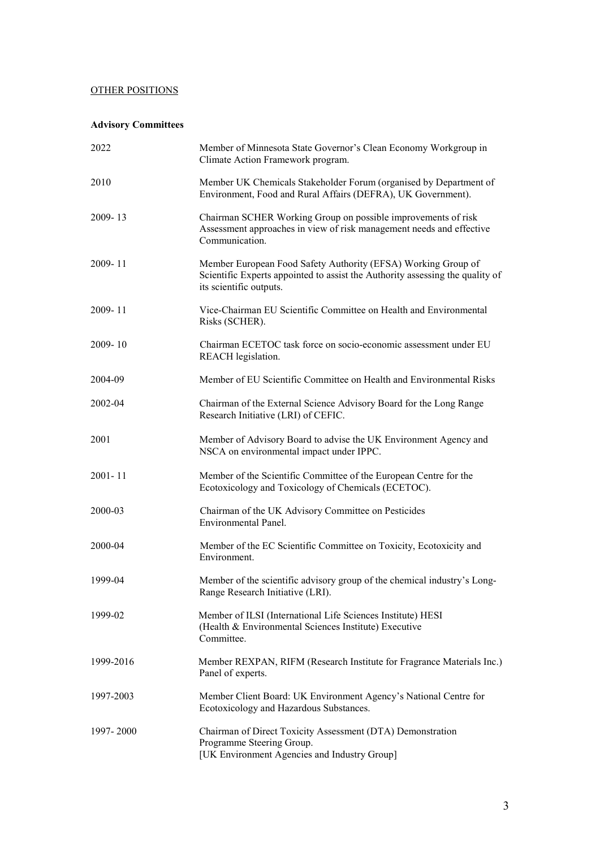## OTHER POSITIONS

## **Advisory Committees**

| 2022        | Member of Minnesota State Governor's Clean Economy Workgroup in<br>Climate Action Framework program.                                                                      |  |  |  |  |
|-------------|---------------------------------------------------------------------------------------------------------------------------------------------------------------------------|--|--|--|--|
| 2010        | Member UK Chemicals Stakeholder Forum (organised by Department of<br>Environment, Food and Rural Affairs (DEFRA), UK Government).                                         |  |  |  |  |
| 2009-13     | Chairman SCHER Working Group on possible improvements of risk<br>Assessment approaches in view of risk management needs and effective<br>Communication.                   |  |  |  |  |
| $2009 - 11$ | Member European Food Safety Authority (EFSA) Working Group of<br>Scientific Experts appointed to assist the Authority assessing the quality of<br>its scientific outputs. |  |  |  |  |
| $2009 - 11$ | Vice-Chairman EU Scientific Committee on Health and Environmental<br>Risks (SCHER).                                                                                       |  |  |  |  |
| $2009 - 10$ | Chairman ECETOC task force on socio-economic assessment under EU<br>REACH legislation.                                                                                    |  |  |  |  |
| 2004-09     | Member of EU Scientific Committee on Health and Environmental Risks                                                                                                       |  |  |  |  |
| 2002-04     | Chairman of the External Science Advisory Board for the Long Range<br>Research Initiative (LRI) of CEFIC.                                                                 |  |  |  |  |
| 2001        | Member of Advisory Board to advise the UK Environment Agency and<br>NSCA on environmental impact under IPPC.                                                              |  |  |  |  |
| $2001 - 11$ | Member of the Scientific Committee of the European Centre for the<br>Ecotoxicology and Toxicology of Chemicals (ECETOC).                                                  |  |  |  |  |
| 2000-03     | Chairman of the UK Advisory Committee on Pesticides<br>Environmental Panel.                                                                                               |  |  |  |  |
| 2000-04     | Member of the EC Scientific Committee on Toxicity, Ecotoxicity and<br>Environment.                                                                                        |  |  |  |  |
| 1999-04     | Member of the scientific advisory group of the chemical industry's Long-<br>Range Research Initiative (LRI).                                                              |  |  |  |  |
| 1999-02     | Member of ILSI (International Life Sciences Institute) HESI<br>(Health & Environmental Sciences Institute) Executive<br>Committee.                                        |  |  |  |  |
| 1999-2016   | Member REXPAN, RIFM (Research Institute for Fragrance Materials Inc.)<br>Panel of experts.                                                                                |  |  |  |  |
| 1997-2003   | Member Client Board: UK Environment Agency's National Centre for<br>Ecotoxicology and Hazardous Substances.                                                               |  |  |  |  |
| 1997-2000   | Chairman of Direct Toxicity Assessment (DTA) Demonstration<br>Programme Steering Group.<br>[UK Environment Agencies and Industry Group]                                   |  |  |  |  |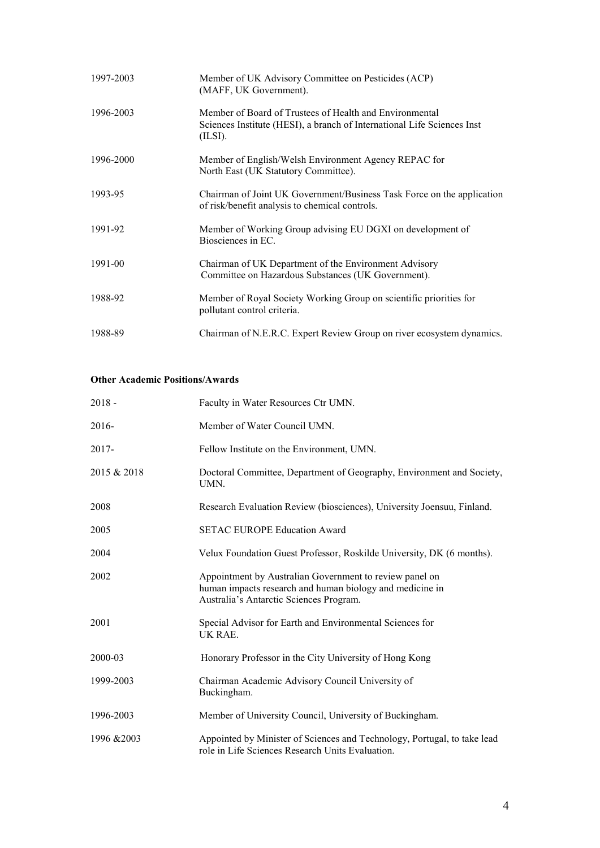| 1997-2003 | Member of UK Advisory Committee on Pesticides (ACP)<br>(MAFF, UK Government).                                                                 |
|-----------|-----------------------------------------------------------------------------------------------------------------------------------------------|
| 1996-2003 | Member of Board of Trustees of Health and Environmental<br>Sciences Institute (HESI), a branch of International Life Sciences Inst<br>(ILSI). |
| 1996-2000 | Member of English/Welsh Environment Agency REPAC for<br>North East (UK Statutory Committee).                                                  |
| 1993-95   | Chairman of Joint UK Government/Business Task Force on the application<br>of risk/benefit analysis to chemical controls.                      |
| 1991-92   | Member of Working Group advising EU DGXI on development of<br>Biosciences in EC.                                                              |
| 1991-00   | Chairman of UK Department of the Environment Advisory<br>Committee on Hazardous Substances (UK Government).                                   |
| 1988-92   | Member of Royal Society Working Group on scientific priorities for<br>pollutant control criteria.                                             |
| 1988-89   | Chairman of N.E.R.C. Expert Review Group on river ecosystem dynamics.                                                                         |

#### **Other Academic Positions/Awards**

| $2018 -$    | Faculty in Water Resources Ctr UMN.                                                                                                                            |  |  |  |
|-------------|----------------------------------------------------------------------------------------------------------------------------------------------------------------|--|--|--|
| 2016-       | Member of Water Council UMN.                                                                                                                                   |  |  |  |
| 2017-       | Fellow Institute on the Environment, UMN.                                                                                                                      |  |  |  |
| 2015 & 2018 | Doctoral Committee, Department of Geography, Environment and Society,<br>UMN.                                                                                  |  |  |  |
| 2008        | Research Evaluation Review (biosciences), University Joensuu, Finland.                                                                                         |  |  |  |
| 2005        | <b>SETAC EUROPE Education Award</b>                                                                                                                            |  |  |  |
| 2004        | Velux Foundation Guest Professor, Roskilde University, DK (6 months).                                                                                          |  |  |  |
| 2002        | Appointment by Australian Government to review panel on<br>human impacts research and human biology and medicine in<br>Australia's Antarctic Sciences Program. |  |  |  |
| 2001        | Special Advisor for Earth and Environmental Sciences for<br>UK RAE.                                                                                            |  |  |  |
| 2000-03     | Honorary Professor in the City University of Hong Kong                                                                                                         |  |  |  |
| 1999-2003   | Chairman Academic Advisory Council University of<br>Buckingham.                                                                                                |  |  |  |
| 1996-2003   | Member of University Council, University of Buckingham.                                                                                                        |  |  |  |
| 1996 & 2003 | Appointed by Minister of Sciences and Technology, Portugal, to take lead<br>role in Life Sciences Research Units Evaluation.                                   |  |  |  |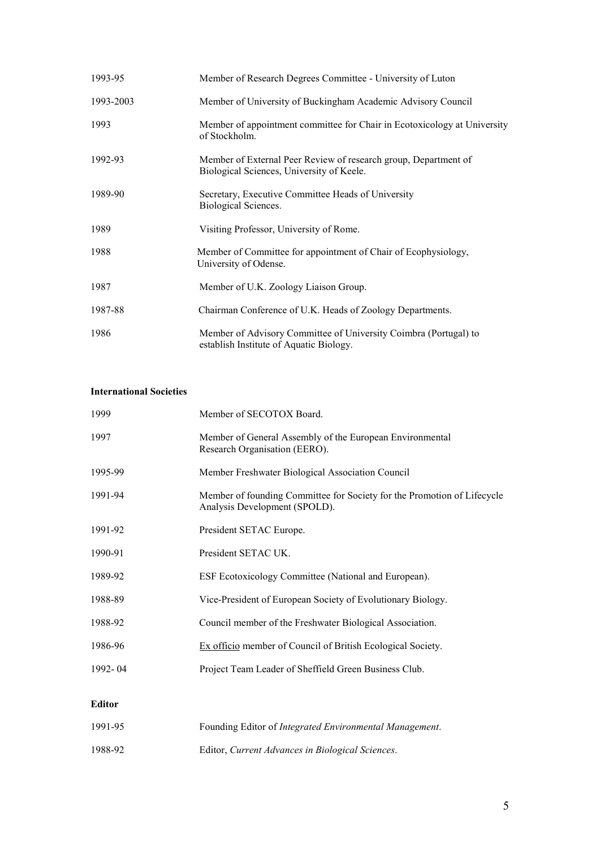| 1993-95   | Member of Research Degrees Committee - University of Luton                                                   |  |  |  |  |
|-----------|--------------------------------------------------------------------------------------------------------------|--|--|--|--|
| 1993-2003 | Member of University of Buckingham Academic Advisory Council                                                 |  |  |  |  |
| 1993      | Member of appointment committee for Chair in Ecotoxicology at University<br>of Stockholm.                    |  |  |  |  |
| 1992-93   | Member of External Peer Review of research group, Department of<br>Biological Sciences, University of Keele. |  |  |  |  |
| 1989-90   | Secretary, Executive Committee Heads of University<br>Biological Sciences.                                   |  |  |  |  |
| 1989      | Visiting Professor, University of Rome.                                                                      |  |  |  |  |
| 1988      | Member of Committee for appointment of Chair of Ecophysiology,<br>University of Odense.                      |  |  |  |  |
| 1987      | Member of U.K. Zoology Liaison Group.                                                                        |  |  |  |  |
| 1987-88   | Chairman Conference of U.K. Heads of Zoology Departments.                                                    |  |  |  |  |
| 1986      | Member of Advisory Committee of University Coimbra (Portugal) to<br>establish Institute of Aquatic Biology.  |  |  |  |  |

## **International Societies**

| 1999    | Member of SECOTOX Board.                                                                                 |  |  |  |
|---------|----------------------------------------------------------------------------------------------------------|--|--|--|
| 1997    | Member of General Assembly of the European Environmental<br>Research Organisation (EERO).                |  |  |  |
| 1995-99 | Member Freshwater Biological Association Council                                                         |  |  |  |
| 1991-94 | Member of founding Committee for Society for the Promotion of Lifecycle<br>Analysis Development (SPOLD). |  |  |  |
| 1991-92 | President SETAC Europe.                                                                                  |  |  |  |
| 1990-91 | President SETAC UK.                                                                                      |  |  |  |
| 1989-92 | ESF Ecotoxicology Committee (National and European).                                                     |  |  |  |
| 1988-89 | Vice-President of European Society of Evolutionary Biology.                                              |  |  |  |
| 1988-92 | Council member of the Freshwater Biological Association.                                                 |  |  |  |
| 1986-96 | Ex officio member of Council of British Ecological Society.                                              |  |  |  |
| 1992-04 | Project Team Leader of Sheffield Green Business Club.                                                    |  |  |  |
|         |                                                                                                          |  |  |  |

# **Editor**

| 1991-95 | Founding Editor of <i>Integrated Environmental Management</i> . |  |
|---------|-----------------------------------------------------------------|--|
| 1988-92 | Editor, Current Advances in Biological Sciences.                |  |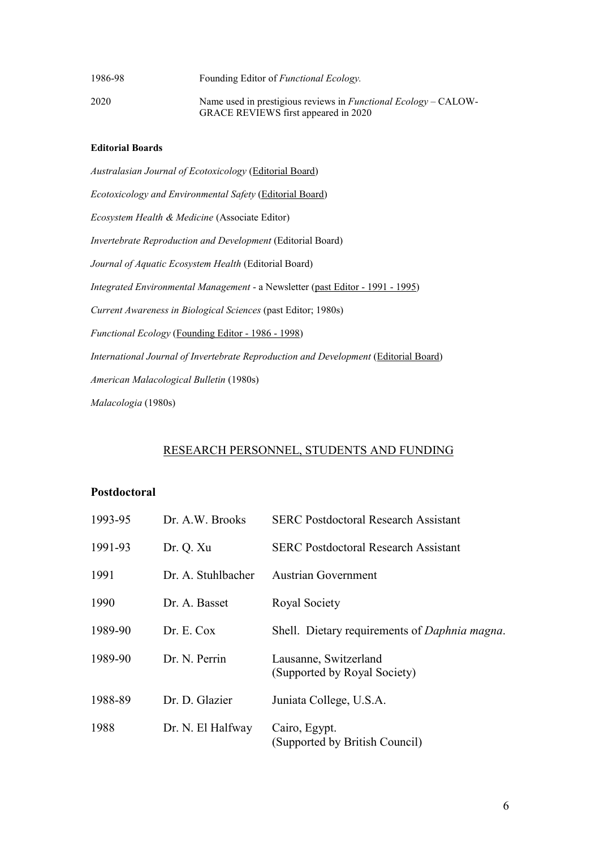| 1986-98 | Founding Editor of <i>Functional Ecology</i> .                                                          |
|---------|---------------------------------------------------------------------------------------------------------|
| 2020    | Name used in prestigious reviews in Functional Ecology – CALOW-<br>GRACE REVIEWS first appeared in 2020 |

#### **Editorial Boards**

*Australasian Journal of Ecotoxicology* (Editorial Board) *Ecotoxicology and Environmental Safety* (Editorial Board) *Ecosystem Health & Medicine* (Associate Editor) *Invertebrate Reproduction and Development* (Editorial Board) *Journal of Aquatic Ecosystem Health* (Editorial Board) *Integrated Environmental Management* - a Newsletter (past Editor - 1991 - 1995) *Current Awareness in Biological Sciences* (past Editor; 1980s) *Functional Ecology* (Founding Editor - 1986 - 1998) *International Journal of Invertebrate Reproduction and Development* (*Editorial Board*) *American Malacological Bulletin* (1980s) *Malacologia* (1980s)

## RESEARCH PERSONNEL, STUDENTS AND FUNDING

#### **Postdoctoral**

| 1993-95 | Dr. A.W. Brooks    | <b>SERC Postdoctoral Research Assistant</b>           |
|---------|--------------------|-------------------------------------------------------|
| 1991-93 | Dr. Q. Xu          | <b>SERC Postdoctoral Research Assistant</b>           |
| 1991    | Dr. A. Stuhlbacher | Austrian Government                                   |
| 1990    | Dr. A. Basset      | Royal Society                                         |
| 1989-90 | Dr. E. Cox         | Shell. Dietary requirements of <i>Daphnia magna</i> . |
| 1989-90 | Dr. N. Perrin      | Lausanne, Switzerland<br>(Supported by Royal Society) |
| 1988-89 | Dr. D. Glazier     | Juniata College, U.S.A.                               |
| 1988    | Dr. N. El Halfway  | Cairo, Egypt.<br>(Supported by British Council)       |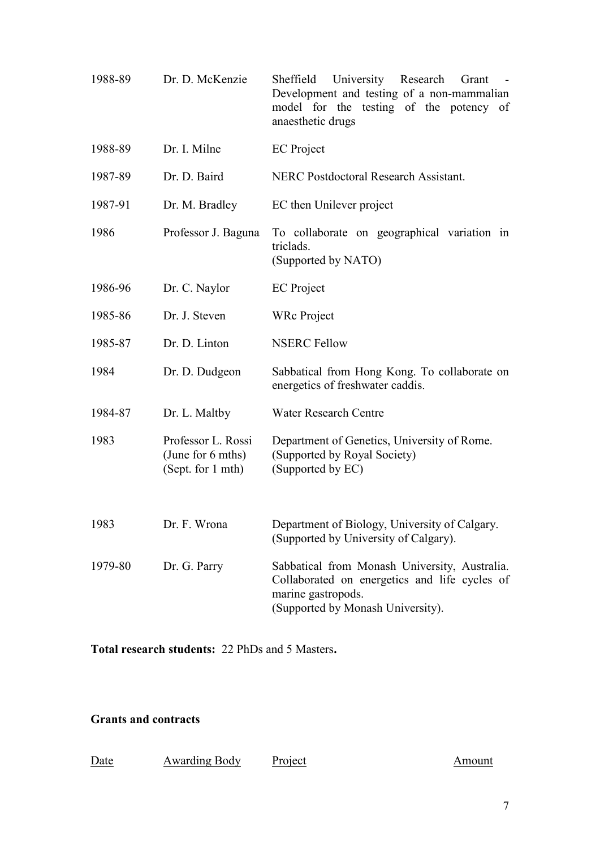| 1988-89 | Dr. D. McKenzie                                              | Sheffield<br>University Research Grant<br>Development and testing of a non-mammalian<br>model for the testing of the potency of<br>anaesthetic drugs      |
|---------|--------------------------------------------------------------|-----------------------------------------------------------------------------------------------------------------------------------------------------------|
| 1988-89 | Dr. I. Milne                                                 | <b>EC</b> Project                                                                                                                                         |
| 1987-89 | Dr. D. Baird                                                 | <b>NERC Postdoctoral Research Assistant.</b>                                                                                                              |
| 1987-91 | Dr. M. Bradley                                               | EC then Unilever project                                                                                                                                  |
| 1986    | Professor J. Baguna                                          | To collaborate on geographical variation in<br>triclads.<br>(Supported by NATO)                                                                           |
| 1986-96 | Dr. C. Naylor                                                | <b>EC</b> Project                                                                                                                                         |
| 1985-86 | Dr. J. Steven                                                | <b>WRc</b> Project                                                                                                                                        |
| 1985-87 | Dr. D. Linton                                                | <b>NSERC Fellow</b>                                                                                                                                       |
| 1984    | Dr. D. Dudgeon                                               | Sabbatical from Hong Kong. To collaborate on<br>energetics of freshwater caddis.                                                                          |
| 1984-87 | Dr. L. Maltby                                                | <b>Water Research Centre</b>                                                                                                                              |
| 1983    | Professor L. Rossi<br>(June for 6 mths)<br>(Sept. for 1 mth) | Department of Genetics, University of Rome.<br>(Supported by Royal Society)<br>(Supported by EC)                                                          |
| 1983    | Dr. F. Wrona                                                 | Department of Biology, University of Calgary.<br>(Supported by University of Calgary).                                                                    |
| 1979-80 | Dr. G. Parry                                                 | Sabbatical from Monash University, Australia.<br>Collaborated on energetics and life cycles of<br>marine gastropods.<br>(Supported by Monash University). |

**Total research students:** 22 PhDs and 5 Masters**.** 

## **Grants and contracts**

| Date | <b>Awarding Body</b> | Project |
|------|----------------------|---------|
|------|----------------------|---------|

Amount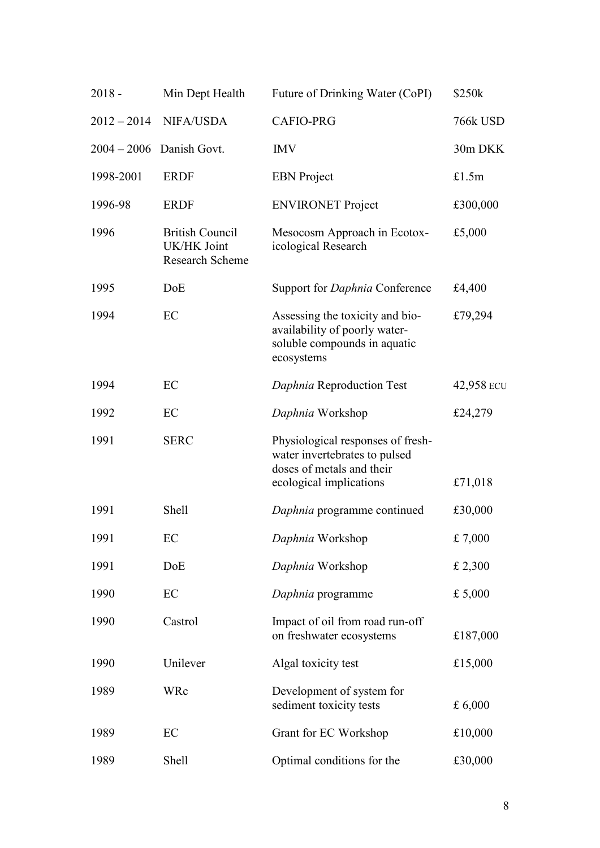| $2018 -$      | Min Dept Health                                          | Future of Drinking Water (CoPI)                                                                                            | \$250k     |
|---------------|----------------------------------------------------------|----------------------------------------------------------------------------------------------------------------------------|------------|
| $2012 - 2014$ | NIFA/USDA                                                | <b>CAFIO-PRG</b>                                                                                                           | 766k USD   |
|               | $2004 - 2006$ Danish Govt.                               | <b>IMV</b>                                                                                                                 | 30m DKK    |
| 1998-2001     | <b>ERDF</b>                                              | <b>EBN</b> Project                                                                                                         | £1.5m      |
| 1996-98       | <b>ERDF</b>                                              | <b>ENVIRONET Project</b>                                                                                                   | £300,000   |
| 1996          | <b>British Council</b><br>UK/HK Joint<br>Research Scheme | Mesocosm Approach in Ecotox-<br>icological Research                                                                        | £5,000     |
| 1995          | DoE                                                      | Support for <i>Daphnia</i> Conference                                                                                      | £4,400     |
| 1994          | EC                                                       | Assessing the toxicity and bio-<br>availability of poorly water-<br>soluble compounds in aquatic<br>ecosystems             | £79,294    |
| 1994          | EC                                                       | Daphnia Reproduction Test                                                                                                  | 42,958 ECU |
| 1992          | EC                                                       | Daphnia Workshop                                                                                                           | £24,279    |
| 1991          | <b>SERC</b>                                              | Physiological responses of fresh-<br>water invertebrates to pulsed<br>doses of metals and their<br>ecological implications | £71,018    |
| 1991          | Shell                                                    | Daphnia programme continued                                                                                                | £30,000    |
| 1991          | EC                                                       | Daphnia Workshop                                                                                                           | £7,000     |
| 1991          | DoE                                                      | Daphnia Workshop                                                                                                           | £ 2,300    |
| 1990          | EC                                                       | Daphnia programme                                                                                                          | £ 5,000    |
| 1990          | Castrol                                                  | Impact of oil from road run-off<br>on freshwater ecosystems                                                                | £187,000   |
| 1990          | Unilever                                                 | Algal toxicity test                                                                                                        | £15,000    |
| 1989          | WRc                                                      | Development of system for<br>sediment toxicity tests                                                                       | £ $6,000$  |
| 1989          | EC                                                       | Grant for EC Workshop                                                                                                      | £10,000    |
| 1989          | Shell                                                    | Optimal conditions for the                                                                                                 | £30,000    |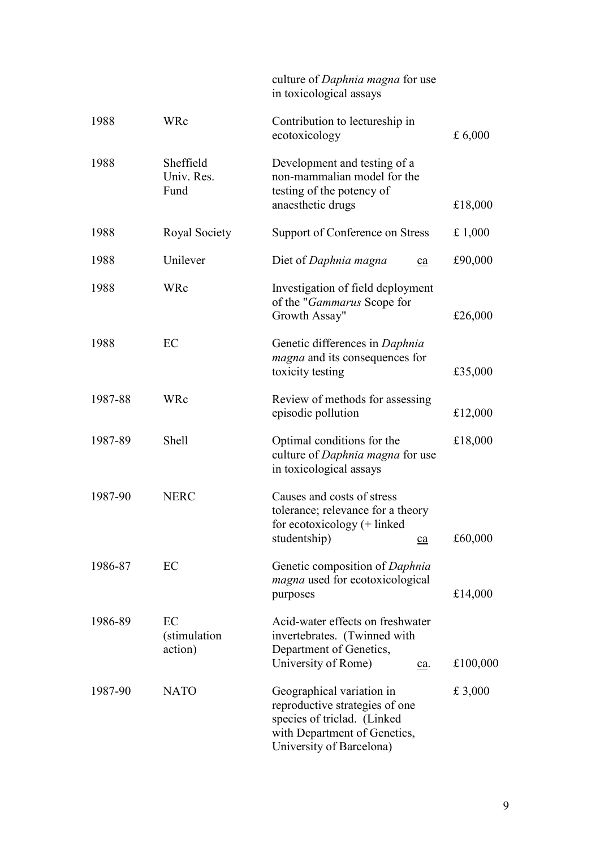|         |                                 | culture of <i>Daphnia magna</i> for use<br>in toxicological assays                                                                                          |           |
|---------|---------------------------------|-------------------------------------------------------------------------------------------------------------------------------------------------------------|-----------|
| 1988    | WRc                             | Contribution to lectureship in<br>ecotoxicology                                                                                                             | £ $6,000$ |
| 1988    | Sheffield<br>Univ. Res.<br>Fund | Development and testing of a<br>non-mammalian model for the<br>testing of the potency of<br>anaesthetic drugs                                               | £18,000   |
| 1988    | Royal Society                   | Support of Conference on Stress                                                                                                                             | £ $1,000$ |
| 1988    | Unilever                        | Diet of Daphnia magna<br>ca                                                                                                                                 | £90,000   |
| 1988    | WRc                             | Investigation of field deployment<br>of the " <i>Gammarus</i> Scope for<br>Growth Assay"                                                                    | £26,000   |
| 1988    | EC                              | Genetic differences in Daphnia<br><i>magna</i> and its consequences for<br>toxicity testing                                                                 | £35,000   |
| 1987-88 | WRc                             | Review of methods for assessing<br>episodic pollution                                                                                                       | £12,000   |
| 1987-89 | <b>Shell</b>                    | Optimal conditions for the<br>culture of <i>Daphnia magna</i> for use<br>in toxicological assays                                                            | £18,000   |
| 1987-90 | <b>NERC</b>                     | Causes and costs of stress<br>tolerance; relevance for a theory<br>for ecotoxicology (+ linked<br>studentship)<br>ca                                        | £60,000   |
| 1986-87 | EC                              | Genetic composition of Daphnia<br><i>magna</i> used for ecotoxicological<br>purposes                                                                        | £14,000   |
| 1986-89 | EC<br>(stimulation<br>action)   | Acid-water effects on freshwater<br>invertebrates. (Twinned with<br>Department of Genetics,<br>University of Rome)<br>£100,000<br>$\underline{\text{ca}}$ . |           |
| 1987-90 | <b>NATO</b>                     | Geographical variation in<br>reproductive strategies of one<br>species of triclad. (Linked<br>with Department of Genetics,<br>University of Barcelona)      | £ 3,000   |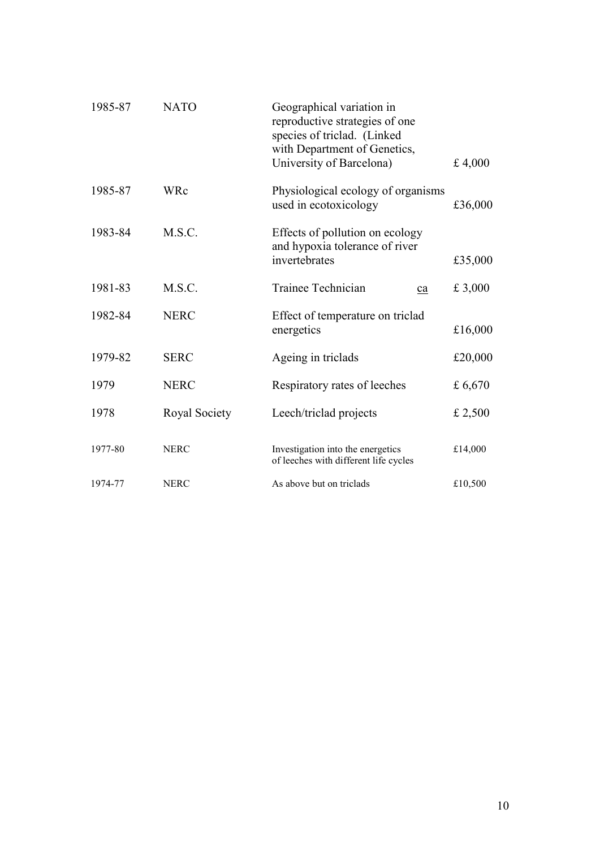| 1985-87 | <b>NATO</b>   | Geographical variation in<br>reproductive strategies of one<br>species of triclad. (Linked<br>with Department of Genetics,<br>University of Barcelona) | £ 4,000   |
|---------|---------------|--------------------------------------------------------------------------------------------------------------------------------------------------------|-----------|
| 1985-87 | WRc           | Physiological ecology of organisms<br>used in ecotoxicology                                                                                            | £36,000   |
| 1983-84 | M.S.C.        | Effects of pollution on ecology<br>and hypoxia tolerance of river<br>invertebrates                                                                     | £35,000   |
| 1981-83 | M.S.C.        | Trainee Technician<br>ca                                                                                                                               | £ 3,000   |
| 1982-84 | <b>NERC</b>   | Effect of temperature on triclad<br>energetics                                                                                                         | £16,000   |
| 1979-82 | <b>SERC</b>   | Ageing in triclads                                                                                                                                     | £20,000   |
| 1979    | <b>NERC</b>   | Respiratory rates of leeches                                                                                                                           | £ $6,670$ |
| 1978    | Royal Society | Leech/triclad projects                                                                                                                                 | £ 2,500   |
| 1977-80 | <b>NERC</b>   | Investigation into the energetics<br>of leeches with different life cycles                                                                             | £14,000   |
| 1974-77 | <b>NERC</b>   | As above but on triclads                                                                                                                               | £10,500   |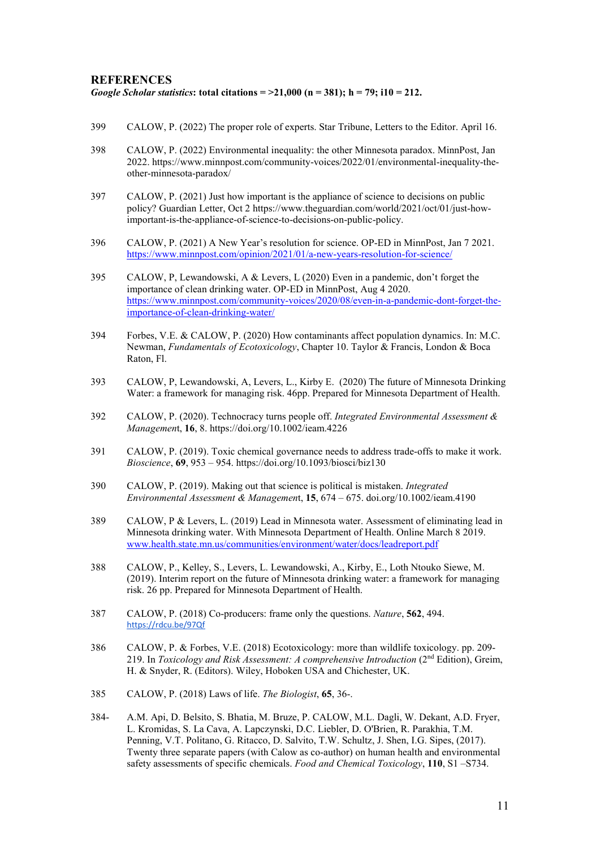#### **REFERENCES**

#### *Google Scholar statistics***: total citations = >21,000 (n = 381); h = 79; i10 = 212.**

- 399 CALOW, P. (2022) The proper role of experts. Star Tribune, Letters to the Editor. April 16.
- 398 CALOW, P. (2022) Environmental inequality: the other Minnesota paradox. MinnPost, Jan 2022. https://www.minnpost.com/community-voices/2022/01/environmental-inequality-theother-minnesota-paradox/
- 397 CALOW, P. (2021) Just how important is the appliance of science to decisions on public policy? Guardian Letter, Oct 2 https://www.theguardian.com/world/2021/oct/01/just-howimportant-is-the-appliance-of-science-to-decisions-on-public-policy.
- 396 CALOW, P. (2021) A New Year's resolution for science. OP-ED in MinnPost, Jan 7 2021. <https://www.minnpost.com/opinion/2021/01/a-new-years-resolution-for-science/>
- 395 CALOW, P, Lewandowski, A & Levers, L (2020) Even in a pandemic, don't forget the importance of clean drinking water. OP-ED in MinnPost, Aug 4 2020. [https://www.minnpost.com/community-voices/2020/08/even-in-a-pandemic-dont-forget-the](https://www.minnpost.com/community-voices/2020/08/even-in-a-pandemic-dont-forget-the-importance-of-clean-drinking-water/)[importance-of-clean-drinking-water/](https://www.minnpost.com/community-voices/2020/08/even-in-a-pandemic-dont-forget-the-importance-of-clean-drinking-water/)
- 394 Forbes, V.E. & CALOW, P. (2020) How contaminants affect population dynamics. In: M.C. Newman, *Fundamentals of Ecotoxicology*, Chapter 10. Taylor & Francis, London & Boca Raton, Fl.
- 393 CALOW, P, Lewandowski, A, Levers, L., Kirby E. (2020) The future of Minnesota Drinking Water: a framework for managing risk. 46pp. Prepared for Minnesota Department of Health.
- 392 CALOW, P. (2020). Technocracy turns people off. *Integrated Environmental Assessment & Managemen*t, **16**, 8. https://doi.org/10.1002/ieam.4226
- 391 CALOW, P. (2019). Toxic chemical governance needs to address trade-offs to make it work. *Bioscience*, **69**, 953 – 954. https://doi.org/10.1093/biosci/biz130
- 390 CALOW, P. (2019). Making out that science is political is mistaken. *Integrated Environmental Assessment & Managemen*t, **15**, 674 – 675. doi.org/10.1002/ieam.4190
- 389 CALOW, P & Levers, L. (2019) Lead in Minnesota water. Assessment of eliminating lead in Minnesota drinking water. With Minnesota Department of Health. Online March 8 2019. [www.health.state.mn.us/communities/environment/water/docs/leadreport.pdf](http://www.health.state.mn.us/communities/environment/water/docs/leadreport.pdf)
- 388 CALOW, P., Kelley, S., Levers, L. Lewandowski, A., Kirby, E., Loth Ntouko Siewe, M. (2019). Interim report on the future of Minnesota drinking water: a framework for managing risk. 26 pp. Prepared for Minnesota Department of Health.
- 387 CALOW, P. (2018) Co-producers: frame only the questions. *Nature*, **562**, 494. [https://rdcu.be/97Qf](http://em.rdcu.be/wf/click?upn=lMZy1lernSJ7apc5DgYM8ajzjivnlAapGAGxE-2FSdeMs-3D_-2FkCyHqaRux3Kr-2BMuDbIJLsWh4XDDRGiqbBj1-2FhVSROSav5euYHzSdAVhfTxk8jGeGarHYctotkg5vzqx3GMi6mASWczVxdlWLRwPh7HyQNabkzxETF-2Bd0JBDuBPfzfCAME1BoMlxzKtnQoM3hJ6H5CuurZeQIyRdLGxv1cctCPYSSVzX16o3sUPvTPRx-2BMch5BUk-2F-2F96WN9-2BqTuhWSrZWsrjzX-2BTj9-2FMyeReMeFfsreKp7rSl3r6Ecmo-2FhCovKdbzZqq3-2B8NHOr1R48KdayNVQ-3D-3D)
- 386 CALOW, P. & Forbes, V.E. (2018) Ecotoxicology: more than wildlife toxicology. pp. 209- 219. In *Toxicology and Risk Assessment: A comprehensive Introduction* (2nd Edition), Greim, H. & Snyder, R. (Editors). Wiley, Hoboken USA and Chichester, UK.
- 385 CALOW, P. (2018) Laws of life. *The Biologist*, **65**, 36-.
- 384- A.M. Api, D. Belsito, S. Bhatia, M. Bruze, P. CALOW, M.L. Dagli, W. Dekant, A.D. Fryer, L. Kromidas, S. La Cava, A. Lapczynski, D.C. Liebler, D. O'Brien, R. Parakhia, T.M. Penning, V.T. Politano, G. Ritacco, D. Salvito, T.W. Schultz, J. Shen, I.G. Sipes, (2017). Twenty three separate papers (with Calow as co-author) on human health and environmental safety assessments of specific chemicals. *Food and Chemical Toxicology*, **110**, S1 –S734.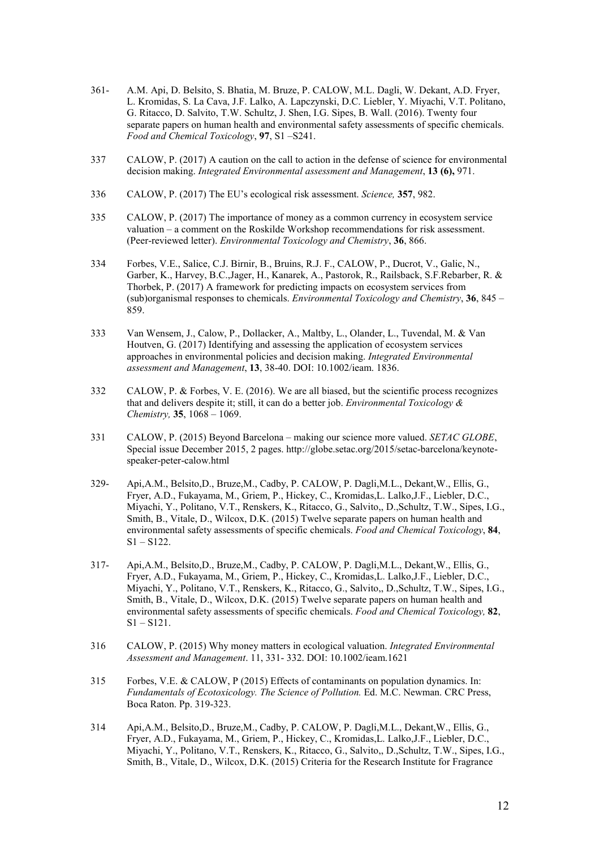- 361- A.M. Api, D. Belsito, S. Bhatia, M. Bruze, P. CALOW, M.L. Dagli, W. Dekant, A.D. Fryer, L. Kromidas, S. La Cava, J.F. Lalko, A. Lapczynski, D.C. Liebler, Y. Miyachi, V.T. Politano, G. Ritacco, D. Salvito, T.W. Schultz, J. Shen, I.G. Sipes, B. Wall. (2016). Twenty four separate papers on human health and environmental safety assessments of specific chemicals. *Food and Chemical Toxicology*, **97**, S1 –S241.
- 337 CALOW, P. (2017) A caution on the call to action in the defense of science for environmental decision making. *Integrated Environmental assessment and Management*, **13 (6),** 971.
- 336 CALOW, P. (2017) The EU's ecological risk assessment. *Science,* **357**, 982.
- 335 CALOW, P. (2017) The importance of money as a common currency in ecosystem service valuation – a comment on the Roskilde Workshop recommendations for risk assessment. (Peer-reviewed letter). *Environmental Toxicology and Chemistry*, **36**, 866.
- 334 Forbes, V.E., Salice, C.J. Birnir, B., Bruins, R.J. F., CALOW, P., Ducrot, V., Galic, N., Garber, K., Harvey, B.C.,Jager, H., Kanarek, A., Pastorok, R., Railsback, S.F.Rebarber, R. & Thorbek, P. (2017) A framework for predicting impacts on ecosystem services from (sub)organismal responses to chemicals. *Environmental Toxicology and Chemistry*, **36**, 845 – 859.
- 333 Van Wensem, J., Calow, P., Dollacker, A., Maltby, L., Olander, L., Tuvendal, M. & Van Houtven, G. (2017) Identifying and assessing the application of ecosystem services approaches in environmental policies and decision making. *Integrated Environmental assessment and Management*, **13**, 38-40. DOI: 10.1002/ieam. 1836.
- 332 CALOW, P. & Forbes, V. E. (2016). We are all biased, but the scientific process recognizes that and delivers despite it; still, it can do a better job. *Environmental Toxicology & Chemistry,* **35**, 1068 – 1069.
- 331 CALOW, P. (2015) Beyond Barcelona making our science more valued. *SETAC GLOBE*, Special issue December 2015, 2 pages. http://globe.setac.org/2015/setac-barcelona/keynotespeaker-peter-calow.html
- 329- Api,A.M., Belsito,D., Bruze,M., Cadby, P. CALOW, P. Dagli,M.L., Dekant,W., Ellis, G., Fryer, A.D., Fukayama, M., Griem, P., Hickey, C., Kromidas,L. Lalko,J.F., Liebler, D.C., Miyachi, Y., Politano, V.T., Renskers, K., Ritacco, G., Salvito,, D.,Schultz, T.W., Sipes, I.G., Smith, B., Vitale, D., Wilcox, D.K. (2015) Twelve separate papers on human health and environmental safety assessments of specific chemicals. *Food and Chemical Toxicology*, **84**,  $S1 - S122$ .
- 317- Api,A.M., Belsito,D., Bruze,M., Cadby, P. CALOW, P. Dagli,M.L., Dekant,W., Ellis, G., Fryer, A.D., Fukayama, M., Griem, P., Hickey, C., Kromidas,L. Lalko,J.F., Liebler, D.C., Miyachi, Y., Politano, V.T., Renskers, K., Ritacco, G., Salvito,, D.,Schultz, T.W., Sipes, I.G., Smith, B., Vitale, D., Wilcox, D.K. (2015) Twelve separate papers on human health and environmental safety assessments of specific chemicals. *Food and Chemical Toxicology,* **82**,  $S1 - S121$ .
- 316 CALOW, P. (2015) Why money matters in ecological valuation. *Integrated Environmental Assessment and Management*. 11, 331- 332. DOI: 10.1002/ieam.1621
- 315 Forbes, V.E. & CALOW, P (2015) Effects of contaminants on population dynamics. In: *Fundamentals of Ecotoxicology. The Science of Pollution.* Ed. M.C. Newman. CRC Press, Boca Raton. Pp. 319-323.
- 314 Api,A.M., Belsito,D., Bruze,M., Cadby, P. CALOW, P. Dagli,M.L., Dekant,W., Ellis, G., Fryer, A.D., Fukayama, M., Griem, P., Hickey, C., Kromidas,L. Lalko,J.F., Liebler, D.C., Miyachi, Y., Politano, V.T., Renskers, K., Ritacco, G., Salvito,, D.,Schultz, T.W., Sipes, I.G., Smith, B., Vitale, D., Wilcox, D.K. (2015) Criteria for the Research Institute for Fragrance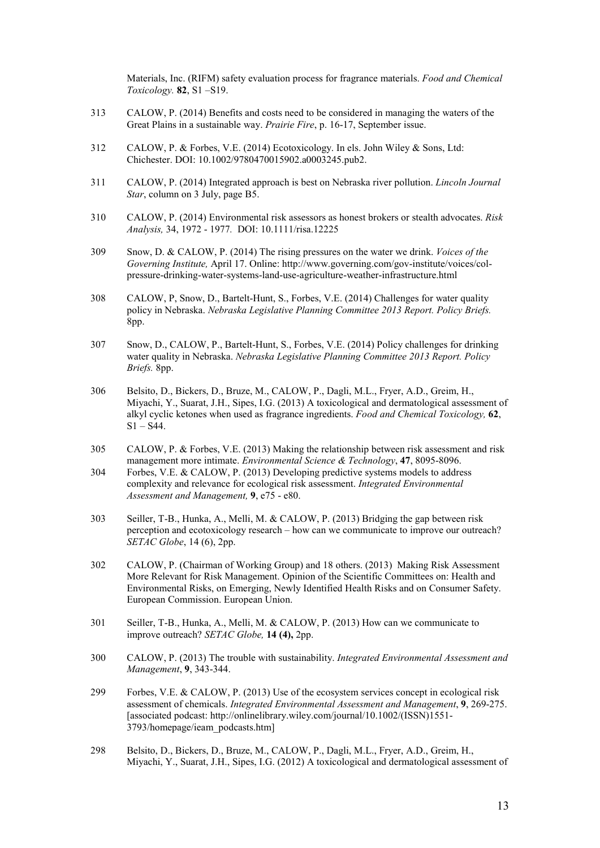Materials, Inc. (RIFM) safety evaluation process for fragrance materials. *Food and Chemical Toxicology.* **82**, S1 –S19.

- 313 CALOW, P. (2014) Benefits and costs need to be considered in managing the waters of the Great Plains in a sustainable way. *Prairie Fire*, p. 16-17, September issue.
- 312 CALOW, P. & Forbes, V.E. (2014) Ecotoxicology. In els. John Wiley & Sons, Ltd: Chichester. DOI: 10.1002/9780470015902.a0003245.pub2.
- 311 CALOW, P. (2014) Integrated approach is best on Nebraska river pollution. *Lincoln Journal Star*, column on 3 July, page B5.
- 310 CALOW, P. (2014) Environmental risk assessors as honest brokers or stealth advocates. *Risk Analysis,* 34, 1972 - 1977*.* DOI: 10.1111/risa.12225
- 309 Snow, D. & CALOW, P. (2014) The rising pressures on the water we drink. *Voices of the Governing Institute,* April 17. Online: http://www.governing.com/gov-institute/voices/colpressure-drinking-water-systems-land-use-agriculture-weather-infrastructure.html
- 308 CALOW, P, Snow, D., Bartelt-Hunt, S., Forbes, V.E. (2014) Challenges for water quality policy in Nebraska. *Nebraska Legislative Planning Committee 2013 Report. Policy Briefs.*  8pp.
- 307 Snow, D., CALOW, P., Bartelt-Hunt, S., Forbes, V.E. (2014) Policy challenges for drinking water quality in Nebraska. *Nebraska Legislative Planning Committee 2013 Report. Policy Briefs.* 8pp.
- 306 Belsito, D., Bickers, D., Bruze, M., CALOW, P., Dagli, M.L., Fryer, A.D., Greim, H., Miyachi, Y., Suarat, J.H., Sipes, I.G. (2013) A toxicological and dermatological assessment of alkyl cyclic ketones when used as fragrance ingredients. *Food and Chemical Toxicology,* **62**,  $S1 - S44$ .
- 305 CALOW, P. & Forbes, V.E. (2013) Making the relationship between risk assessment and risk management more intimate. *Environmental Science & Technology*, **47**, 8095-8096.
- 304 Forbes, V.E. & CALOW, P. (2013) Developing predictive systems models to address complexity and relevance for ecological risk assessment. *Integrated Environmental Assessment and Management,* **9**, e75 - e80.
- 303 Seiller, T-B., Hunka, A., Melli, M. & CALOW, P. (2013) Bridging the gap between risk perception and ecotoxicology research – how can we communicate to improve our outreach? *SETAC Globe*, 14 (6), 2pp.
- 302 CALOW, P. (Chairman of Working Group) and 18 others. (2013) Making Risk Assessment More Relevant for Risk Management. Opinion of the Scientific Committees on: Health and Environmental Risks, on Emerging, Newly Identified Health Risks and on Consumer Safety. European Commission. European Union.
- 301 Seiller, T-B., Hunka, A., Melli, M. & CALOW, P. (2013) How can we communicate to improve outreach? *SETAC Globe,* **14 (4),** 2pp.
- 300 CALOW, P. (2013) The trouble with sustainability. *Integrated Environmental Assessment and Management*, **9**, 343-344.
- 299 Forbes, V.E. & CALOW, P. (2013) Use of the ecosystem services concept in ecological risk assessment of chemicals. *Integrated Environmental Assessment and Management*, **9**, 269-275. [associated podcast: http://onlinelibrary.wiley.com/journal/10.1002/(ISSN)1551- 3793/homepage/ieam\_podcasts.htm]
- 298 Belsito, D., Bickers, D., Bruze, M., CALOW, P., Dagli, M.L., Fryer, A.D., Greim, H., Miyachi, Y., Suarat, J.H., Sipes, I.G. (2012) A toxicological and dermatological assessment of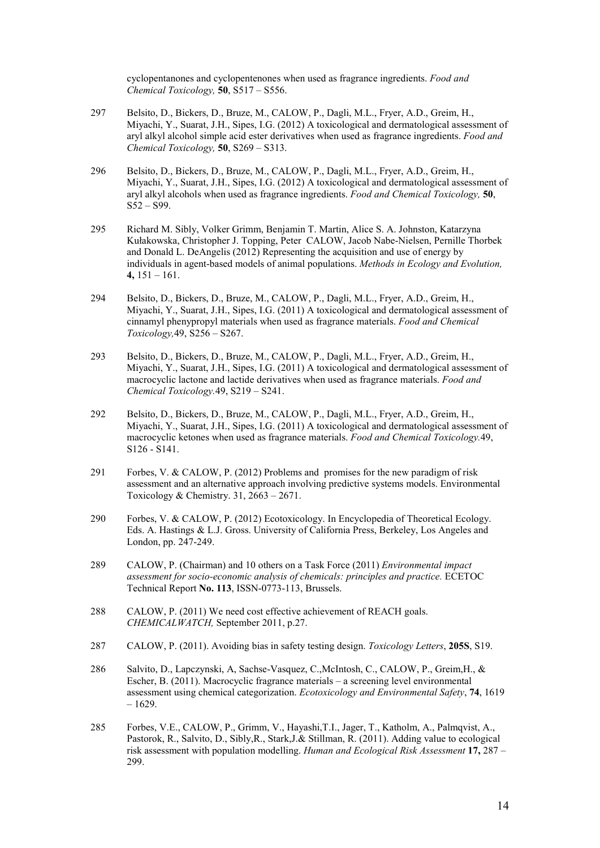cyclopentanones and cyclopentenones when used as fragrance ingredients. *Food and Chemical Toxicology,* **50**, S517 – S556.

- 297 Belsito, D., Bickers, D., Bruze, M., CALOW, P., Dagli, M.L., Fryer, A.D., Greim, H., Miyachi, Y., Suarat, J.H., Sipes, I.G. (2012) A toxicological and dermatological assessment of aryl alkyl alcohol simple acid ester derivatives when used as fragrance ingredients. *Food and Chemical Toxicology,* **50**, S269 – S313.
- 296 Belsito, D., Bickers, D., Bruze, M., CALOW, P., Dagli, M.L., Fryer, A.D., Greim, H., Miyachi, Y., Suarat, J.H., Sipes, I.G. (2012) A toxicological and dermatological assessment of aryl alkyl alcohols when used as fragrance ingredients. *Food and Chemical Toxicology,* **50**,  $S52 - S99.$
- 295 Richard M. Sibly, Volker Grimm, Benjamin T. Martin, Alice S. A. Johnston, Katarzyna Kułakowska, Christopher J. Topping, Peter CALOW, Jacob Nabe-Nielsen, Pernille Thorbek and Donald L. DeAngelis (2012) Representing the acquisition and use of energy by individuals in agent-based models of animal populations. *Methods in Ecology and Evolution,*  **4,** 151 – 161.
- 294 Belsito, D., Bickers, D., Bruze, M., CALOW, P., Dagli, M.L., Fryer, A.D., Greim, H., Miyachi, Y., Suarat, J.H., Sipes, I.G. (2011) A toxicological and dermatological assessment of cinnamyl phenypropyl materials when used as fragrance materials. *Food and Chemical Toxicology,*49, S256 – S267.
- 293 Belsito, D., Bickers, D., Bruze, M., CALOW, P., Dagli, M.L., Fryer, A.D., Greim, H., Miyachi, Y., Suarat, J.H., Sipes, I.G. (2011) A toxicological and dermatological assessment of macrocyclic lactone and lactide derivatives when used as fragrance materials. *Food and Chemical Toxicology.*49, S219 – S241.
- 292 Belsito, D., Bickers, D., Bruze, M., CALOW, P., Dagli, M.L., Fryer, A.D., Greim, H., Miyachi, Y., Suarat, J.H., Sipes, I.G. (2011) A toxicological and dermatological assessment of macrocyclic ketones when used as fragrance materials. *Food and Chemical Toxicology.*49, S126 - S141.
- 291 Forbes, V. & CALOW, P. (2012) Problems and promises for the new paradigm of risk assessment and an alternative approach involving predictive systems models. Environmental Toxicology & Chemistry.  $31, 2663 - 2671$ .
- 290 Forbes, V. & CALOW, P. (2012) Ecotoxicology. In Encyclopedia of Theoretical Ecology. Eds. A. Hastings & L.J. Gross. University of California Press, Berkeley, Los Angeles and London, pp. 247-249.
- 289 CALOW, P. (Chairman) and 10 others on a Task Force (2011) *Environmental impact assessment for socio-economic analysis of chemicals: principles and practice.* ECETOC Technical Report **No. 113**, ISSN-0773-113, Brussels.
- 288 CALOW, P. (2011) We need cost effective achievement of REACH goals. *CHEMICALWATCH,* September 2011, p.27.
- 287 CALOW, P. (2011). Avoiding bias in safety testing design. *Toxicology Letters*, **205S**, S19.
- 286 Salvito, D., Lapczynski, A, Sachse-Vasquez, C.,McIntosh, C., CALOW, P., Greim,H., & Escher, B. (2011). Macrocyclic fragrance materials – a screening level environmental assessment using chemical categorization. *Ecotoxicology and Environmental Safety*, **74**, 1619  $-1629.$
- 285 Forbes, V.E., CALOW, P., Grimm, V., Hayashi,T.I., Jager, T., Katholm, A., Palmqvist, A., Pastorok, R., Salvito, D., Sibly,R., Stark,J.& Stillman, R. (2011). Adding value to ecological risk assessment with population modelling. *Human and Ecological Risk Assessment* **17,** 287 – 299.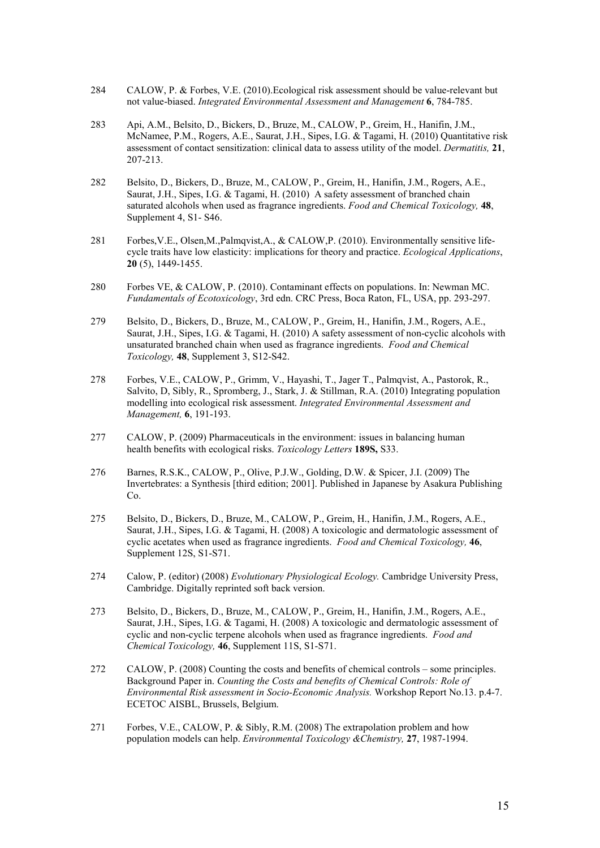- 284 CALOW, P. & Forbes, V.E. (2010).Ecological risk assessment should be value-relevant but not value-biased. *Integrated Environmental Assessment and Management* **6**, 784-785.
- 283 Api, A.M., Belsito, D., Bickers, D., Bruze, M., CALOW, P., Greim, H., Hanifin, J.M., McNamee, P.M., Rogers, A.E., Saurat, J.H., Sipes, I.G. & Tagami, H. (2010) Quantitative risk assessment of contact sensitization: clinical data to assess utility of the model. *Dermatitis,* **21**, 207-213.
- 282 Belsito, D., Bickers, D., Bruze, M., CALOW, P., Greim, H., Hanifin, J.M., Rogers, A.E., Saurat, J.H., Sipes, I.G. & Tagami, H. (2010) A safety assessment of branched chain saturated alcohols when used as fragrance ingredients. *Food and Chemical Toxicology,* **48**, Supplement 4, S1- S46.
- 281 Forbes,V.E., Olsen,M.,Palmqvist,A., & CALOW,P. (2010). Environmentally sensitive lifecycle traits have low elasticity: implications for theory and practice. *Ecological Applications*, **20** (5), 1449-1455.
- 280 Forbes VE, & CALOW, P. (2010). Contaminant effects on populations. In: Newman MC. *Fundamentals of Ecotoxicology*, 3rd edn. CRC Press, Boca Raton, FL, USA, pp. 293-297.
- 279 Belsito, D., Bickers, D., Bruze, M., CALOW, P., Greim, H., Hanifin, J.M., Rogers, A.E., Saurat, J.H., Sipes, I.G. & Tagami, H. (2010) A safety assessment of non-cyclic alcohols with unsaturated branched chain when used as fragrance ingredients. *Food and Chemical Toxicology,* **48**, Supplement 3, S12-S42.
- 278 Forbes, V.E., CALOW, P., Grimm, V., Hayashi, T., Jager T., Palmqvist, A., Pastorok, R., Salvito, D, Sibly, R., Spromberg, J., Stark, J. & Stillman, R.A. (2010) Integrating population modelling into ecological risk assessment. *Integrated Environmental Assessment and Management,* **6**, 191-193.
- 277 CALOW, P. (2009) Pharmaceuticals in the environment: issues in balancing human health benefits with ecological risks. *Toxicology Letters* **189S,** S33.
- 276 Barnes, R.S.K., CALOW, P., Olive, P.J.W., Golding, D.W. & Spicer, J.I. (2009) The Invertebrates: a Synthesis [third edition; 2001]. Published in Japanese by Asakura Publishing Co.
- 275 Belsito, D., Bickers, D., Bruze, M., CALOW, P., Greim, H., Hanifin, J.M., Rogers, A.E., Saurat, J.H., Sipes, I.G. & Tagami, H. (2008) A toxicologic and dermatologic assessment of cyclic acetates when used as fragrance ingredients. *Food and Chemical Toxicology,* **46**, Supplement 12S, S1-S71.
- 274 Calow, P. (editor) (2008) *Evolutionary Physiological Ecology.* Cambridge University Press, Cambridge. Digitally reprinted soft back version.
- 273 Belsito, D., Bickers, D., Bruze, M., CALOW, P., Greim, H., Hanifin, J.M., Rogers, A.E., Saurat, J.H., Sipes, I.G. & Tagami, H. (2008) A toxicologic and dermatologic assessment of cyclic and non-cyclic terpene alcohols when used as fragrance ingredients. *Food and Chemical Toxicology,* **46**, Supplement 11S, S1-S71.
- 272 CALOW, P. (2008) Counting the costs and benefits of chemical controls some principles. Background Paper in. *Counting the Costs and benefits of Chemical Controls: Role of Environmental Risk assessment in Socio-Economic Analysis.* Workshop Report No.13. p.4-7. ECETOC AISBL, Brussels, Belgium.
- 271 Forbes, V.E., CALOW, P. & Sibly, R.M. (2008) The extrapolation problem and how population models can help. *Environmental Toxicology &Chemistry,* **27**, 1987-1994.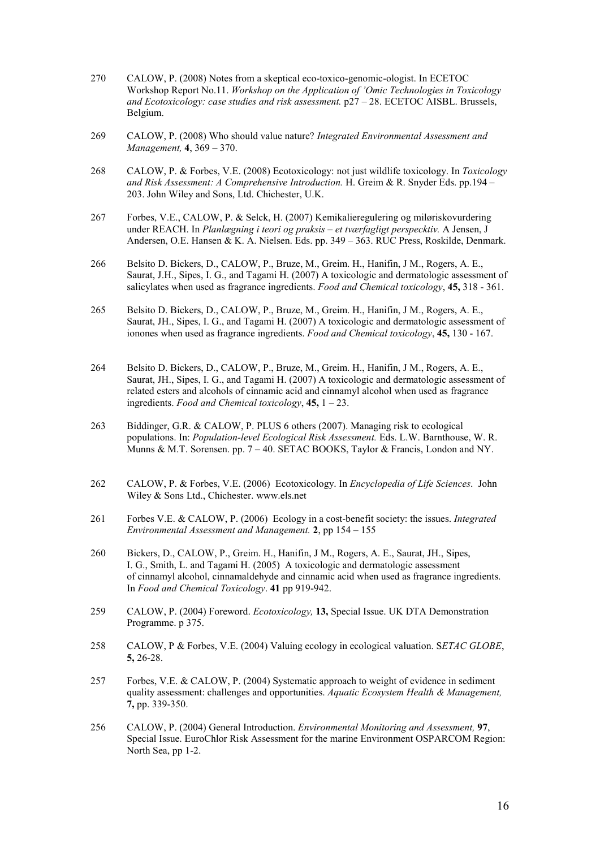- 270 CALOW, P. (2008) Notes from a skeptical eco-toxico-genomic-ologist. In ECETOC Workshop Report No.11. *Workshop on the Application of 'Omic Technologies in Toxicology and Ecotoxicology: case studies and risk assessment.* p27 – 28. ECETOC AISBL. Brussels, Belgium.
- 269 CALOW, P. (2008) Who should value nature? *Integrated Environmental Assessment and Management,* **4**, 369 – 370.
- 268 CALOW, P. & Forbes, V.E. (2008) Ecotoxicology: not just wildlife toxicology. In *Toxicology and Risk Assessment: A Comprehensive Introduction.* H. Greim & R. Snyder Eds. pp.194 – 203. John Wiley and Sons, Ltd. Chichester, U.K.
- 267 Forbes, V.E., CALOW, P. & Selck, H. (2007) Kemikalieregulering og miløriskovurdering under REACH. In *Planlægning i teori og praksis – et tværfagligt perspecktiv.* A Jensen, J Andersen, O.E. Hansen & K. A. Nielsen. Eds. pp. 349 – 363. RUC Press, Roskilde, Denmark.
- 266 Belsito D. Bickers, D., CALOW, P., Bruze, M., Greim. H., Hanifin, J M., Rogers, A. E., Saurat, J.H., Sipes, I. G., and Tagami H. (2007) A toxicologic and dermatologic assessment of salicylates when used as fragrance ingredients. *Food and Chemical toxicology*, **45,** 318 - 361.
- 265 Belsito D. Bickers, D., CALOW, P., Bruze, M., Greim. H., Hanifin, J M., Rogers, A. E., Saurat, JH., Sipes, I. G., and Tagami H. (2007) A toxicologic and dermatologic assessment of ionones when used as fragrance ingredients. *Food and Chemical toxicology*, **45,** 130 - 167.
- 264 Belsito D. Bickers, D., CALOW, P., Bruze, M., Greim. H., Hanifin, J M., Rogers, A. E., Saurat, JH., Sipes, I. G., and Tagami H. (2007) A toxicologic and dermatologic assessment of related esters and alcohols of cinnamic acid and cinnamyl alcohol when used as fragrance ingredients. *Food and Chemical toxicology*, **45,** 1 – 23.
- 263 Biddinger, G.R. & CALOW, P. PLUS 6 others (2007). Managing risk to ecological populations. In: *Population-level Ecological Risk Assessment.* Eds. L.W. Barnthouse, W. R. Munns & M.T. Sorensen. pp.  $7 - 40$ . SETAC BOOKS, Taylor & Francis, London and NY.
- 262 CALOW, P. & Forbes, V.E. (2006) Ecotoxicology. In *Encyclopedia of Life Sciences*. John Wiley & Sons Ltd., Chichester. www.els.net
- 261 Forbes V.E. & CALOW, P. (2006) Ecology in a cost-benefit society: the issues. *Integrated Environmental Assessment and Management.* **2**, pp 154 – 155
- 260 Bickers, D., CALOW, P., Greim. H., Hanifin, J M., Rogers, A. E., Saurat, JH., Sipes, I. G., Smith, L. and Tagami H. (2005) A toxicologic and dermatologic assessment of cinnamyl alcohol, cinnamaldehyde and cinnamic acid when used as fragrance ingredients. In *Food and Chemical Toxicology*. **41** pp 919-942.
- 259 CALOW, P. (2004) Foreword. *Ecotoxicology,* **13,** Special Issue. UK DTA Demonstration Programme. p 375.
- 258 CALOW, P & Forbes, V.E. (2004) Valuing ecology in ecological valuation. S*ETAC GLOBE*, **5,** 26-28.
- 257 Forbes, V.E. & CALOW, P. (2004) Systematic approach to weight of evidence in sediment quality assessment: challenges and opportunities. *Aquatic Ecosystem Health & Management,* **7,** pp. 339-350.
- 256 CALOW, P. (2004) General Introduction. *Environmental Monitoring and Assessment,* **97**, Special Issue. EuroChlor Risk Assessment for the marine Environment OSPARCOM Region: North Sea, pp 1-2.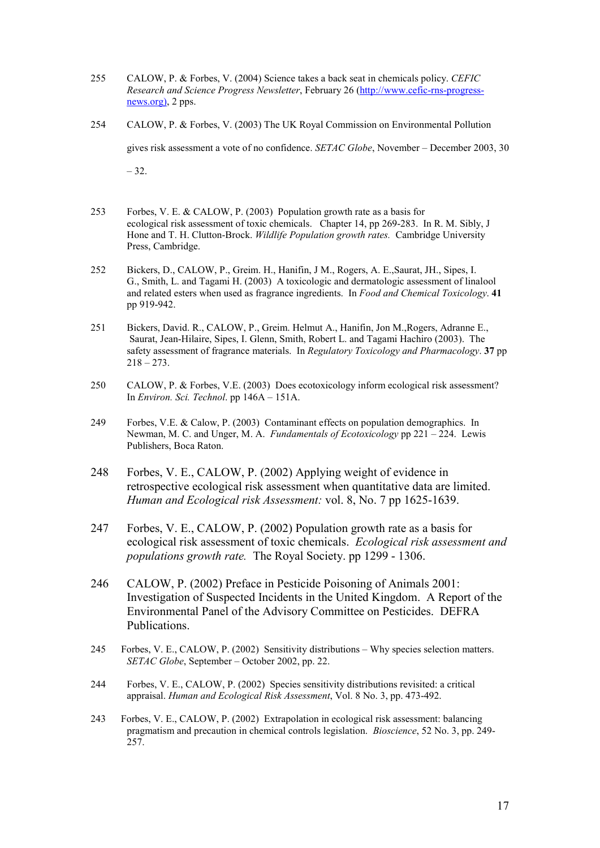- 255 CALOW, P. & Forbes, V. (2004) Science takes a back seat in chemicals policy. *CEFIC Research and Science Progress Newsletter*, February 26 [\(http://www.cefic-rns-progress](http://www.cefic-rns-progress-news.org)/)[news.org\),](http://www.cefic-rns-progress-news.org)/) 2 pps.
- 254 CALOW, P. & Forbes, V. (2003) The UK Royal Commission on Environmental Pollution

gives risk assessment a vote of no confidence. *SETAC Globe*, November – December 2003, 30

 $-32.$ 

- 253 Forbes, V. E. & CALOW, P. (2003) Population growth rate as a basis for ecological risk assessment of toxic chemicals. Chapter 14, pp 269-283. In R. M. Sibly, J Hone and T. H. Clutton-Brock. *Wildlife Population growth rates.* Cambridge University Press, Cambridge.
- 252 Bickers, D., CALOW, P., Greim. H., Hanifin, J M., Rogers, A. E.,Saurat, JH., Sipes, I. G., Smith, L. and Tagami H. (2003) A toxicologic and dermatologic assessment of linalool and related esters when used as fragrance ingredients. In *Food and Chemical Toxicology*. **41** pp 919-942.
- 251 Bickers, David. R., CALOW, P., Greim. Helmut A., Hanifin, Jon M.,Rogers, Adranne E., Saurat, Jean-Hilaire, Sipes, I. Glenn, Smith, Robert L. and Tagami Hachiro (2003). The safety assessment of fragrance materials. In *Regulatory Toxicology and Pharmacology*. **37** pp  $218 - 273.$
- 250 CALOW, P. & Forbes, V.E. (2003) Does ecotoxicology inform ecological risk assessment? In *Environ. Sci. Technol*. pp 146A – 151A.
- 249 Forbes, V.E. & Calow, P. (2003) Contaminant effects on population demographics. In Newman, M. C. and Unger, M. A. *Fundamentals of Ecotoxicology* pp 221 – 224. Lewis Publishers, Boca Raton.
- 248 Forbes, V. E., CALOW, P. (2002) Applying weight of evidence in retrospective ecological risk assessment when quantitative data are limited. *Human and Ecological risk Assessment:* vol. 8, No. 7 pp 1625-1639.
- 247 Forbes, V. E., CALOW, P. (2002) Population growth rate as a basis for ecological risk assessment of toxic chemicals. *Ecological risk assessment and populations growth rate.* The Royal Society. pp 1299 - 1306.
- 246 CALOW, P. (2002) Preface in Pesticide Poisoning of Animals 2001: Investigation of Suspected Incidents in the United Kingdom. A Report of the Environmental Panel of the Advisory Committee on Pesticides. DEFRA Publications.
- 245 Forbes, V. E., CALOW, P. (2002) Sensitivity distributions Why species selection matters. *SETAC Globe*, September – October 2002, pp. 22.
- 244 Forbes, V. E., CALOW, P. (2002) Species sensitivity distributions revisited: a critical appraisal. *Human and Ecological Risk Assessment*, Vol. 8 No. 3, pp. 473-492.
- 243 Forbes, V. E., CALOW, P. (2002) Extrapolation in ecological risk assessment: balancing pragmatism and precaution in chemical controls legislation. *Bioscience*, 52 No. 3, pp. 249- 257.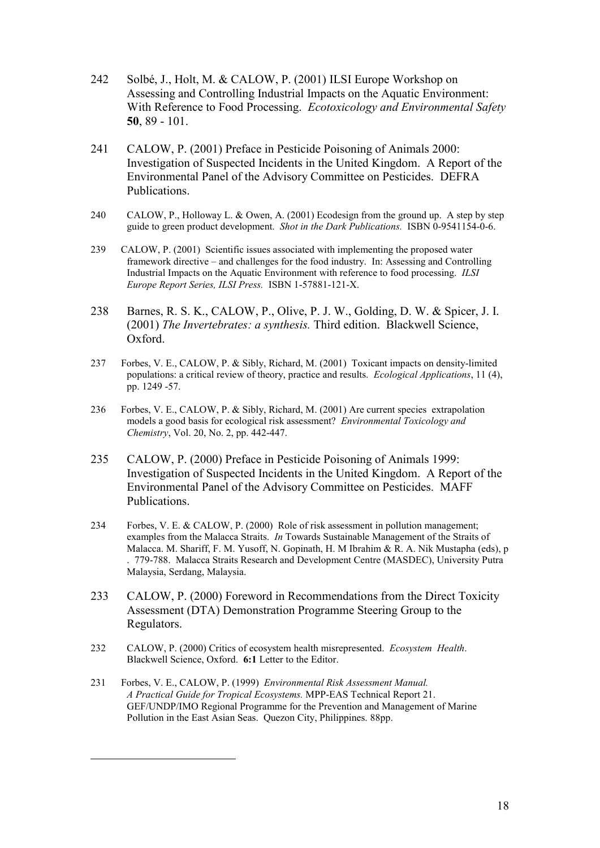- 242 Solbé, J., Holt, M. & CALOW, P. (2001) ILSI Europe Workshop on Assessing and Controlling Industrial Impacts on the Aquatic Environment: With Reference to Food Processing. *Ecotoxicology and Environmental Safety* **50**, 89 - 101.
- 241 CALOW, P. (2001) Preface in Pesticide Poisoning of Animals 2000: Investigation of Suspected Incidents in the United Kingdom. A Report of the Environmental Panel of the Advisory Committee on Pesticides. DEFRA Publications.
- 240 CALOW, P., Holloway L. & Owen, A. (2001) Ecodesign from the ground up. A step by step guide to green product development. *Shot in the Dark Publications.* ISBN 0-9541154-0-6.
- 239 CALOW, P. (2001) Scientific issues associated with implementing the proposed water framework directive – and challenges for the food industry. In: Assessing and Controlling Industrial Impacts on the Aquatic Environment with reference to food processing. *ILSI Europe Report Series, ILSI Press.* ISBN 1-57881-121-X.
- 238 Barnes, R. S. K., CALOW, P., Olive, P. J. W., Golding, D. W. & Spicer, J. I. (2001) *The Invertebrates: a synthesis.* Third edition. Blackwell Science, Oxford.
- 237 Forbes, V. E., CALOW, P. & Sibly, Richard, M. (2001) Toxicant impacts on density-limited populations: a critical review of theory, practice and results. *Ecological Applications*, 11 (4), pp. 1249 -57.
- 236 Forbes, V. E., CALOW, P. & Sibly, Richard, M. (2001) Are current species extrapolation models a good basis for ecological risk assessment? *Environmental Toxicology and Chemistry*, Vol. 20, No. 2, pp. 442-447.
- 235 CALOW, P. (2000) Preface in Pesticide Poisoning of Animals 1999: Investigation of Suspected Incidents in the United Kingdom. A Report of the Environmental Panel of the Advisory Committee on Pesticides. MAFF Publications.
- 234 Forbes, V. E. & CALOW, P. (2000) Role of risk assessment in pollution management; examples from the Malacca Straits. *In* Towards Sustainable Management of the Straits of Malacca. M. Shariff, F. M. Yusoff, N. Gopinath, H. M Ibrahim & R. A. Nik Mustapha (eds), p . 779-788. Malacca Straits Research and Development Centre (MASDEC), University Putra Malaysia, Serdang, Malaysia.
- 233 CALOW, P. (2000) Foreword in Recommendations from the Direct Toxicity Assessment (DTA) Demonstration Programme Steering Group to the Regulators.
- 232 CALOW, P. (2000) Critics of ecosystem health misrepresented. *Ecosystem Health*. Blackwell Science, Oxford. **6:1** Letter to the Editor.
- 231 Forbes, V. E., CALOW, P. (1999) *Environmental Risk Assessment Manual. A Practical Guide for Tropical Ecosystems.* MPP-EAS Technical Report 21. GEF/UNDP/IMO Regional Programme for the Prevention and Management of Marine Pollution in the East Asian Seas. Quezon City, Philippines. 88pp.

<span id="page-17-0"></span>-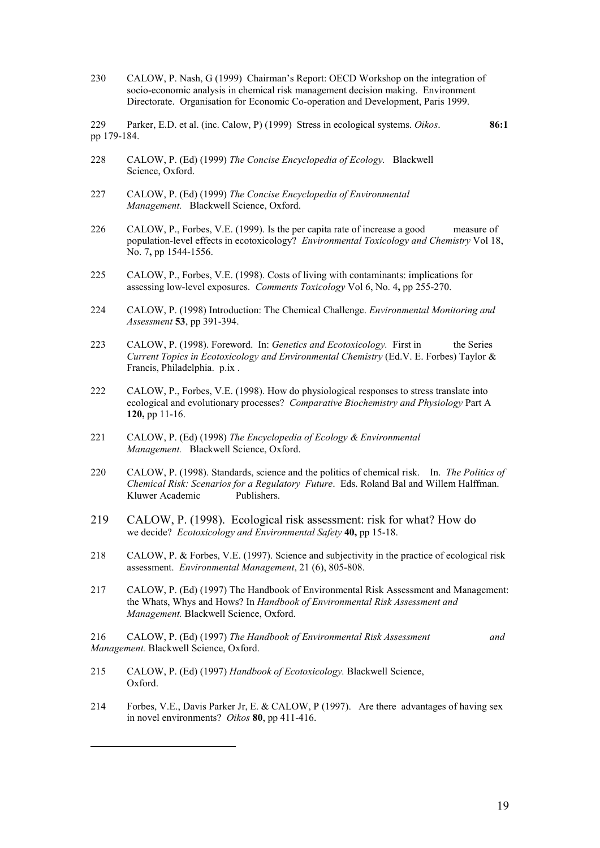230 CALOW, P. Nash, G (1999) Chairman's Report: OECD Workshop on the integration of socio-economic analysis in chemical risk management decision making. Environment Directorate. Organisation for Economic Co-operation and Development, Paris 1999.

229 Parker, E.D. et al. (inc. Calow, P) (1999) Stress in ecological systems. *Oikos*. **86:1** pp 179-184.

- 228 CALOW, P. (Ed) (1999) *The Concise Encyclopedia of Ecology.* Blackwell Science, Oxford.
- 227 CALOW, P. (Ed) (1999) *The Concise Encyclopedia of Environmental Management.* Blackwell Science, Oxford.
- 226 CALOW, P., Forbes, V.E. (1999). Is the per capita rate of increase a good measure of population-level effects in ecotoxicology? *Environmental Toxicology and Chemistry* Vol 18, No. 7**,** pp 1544-1556.
- 225 CALOW, P., Forbes, V.E. (1998). Costs of living with contaminants: implications for assessing low-level exposures. *Comments Toxicology* Vol 6, No. 4**,** pp 255-270.
- 224 CALOW, P. (1998) Introduction: The Chemical Challenge. *Environmental Monitoring and Assessment* **53**, pp 391-394.
- 223 CALOW, P. (1998). Foreword. In: *Genetics and Ecotoxicology.* First in the Series *Current Topics in Ecotoxicology and Environmental Chemistry* (Ed.V. E. Forbes) Taylor & Francis, Philadelphia. p.ix .
- 222 CALOW, P., Forbes, V.E. (1998). How do physiological responses to stress translate into ecological and evolutionary processes? *Comparative Biochemistry and Physiology* Part A **120,** pp 11-16.
- 221 CALOW, P. (Ed) (1998) *The Encyclopedia of Ecology & Environmental Management.* Blackwell Science, Oxford.
- 220 CALOW, P. (1998). Standards, science and the politics of chemical risk. In. *The Politics of Chemical Risk: Scenarios for a Regulatory Future*. Eds. Roland Bal and Willem Halffman. Kluwer Academic
- 219 CALOW, P. (1998). Ecological risk assessment: risk for what? How do we decide? *Ecotoxicology and Environmental Safety* **40,** pp 15-18.
- 218 CALOW, P. & Forbes, V.E. (1997). Science and subjectivity in the practice of ecological risk assessment. *Environmental Management*, 21 (6), 805-808.
- 217 CALOW, P. (Ed) (1997) The Handbook of Environmental Risk Assessment and Management: the Whats, Whys and Hows? In *Handbook of Environmental Risk Assessment and Management.* Blackwell Science, Oxford.

216 CALOW, P. (Ed) (1997) *The Handbook of Environmental Risk Assessment and Management.* Blackwell Science, Oxford.

215 CALOW, P. (Ed) (1997) *Handbook of Ecotoxicology.* Blackwell Science, Oxford.

<span id="page-18-1"></span><span id="page-18-0"></span>-

214 Forbes, V.E., Davis Parker Jr, E. & CALOW, P (1997). Are there advantages of having sex in novel environments? *Oikos* **80**, pp 411-416.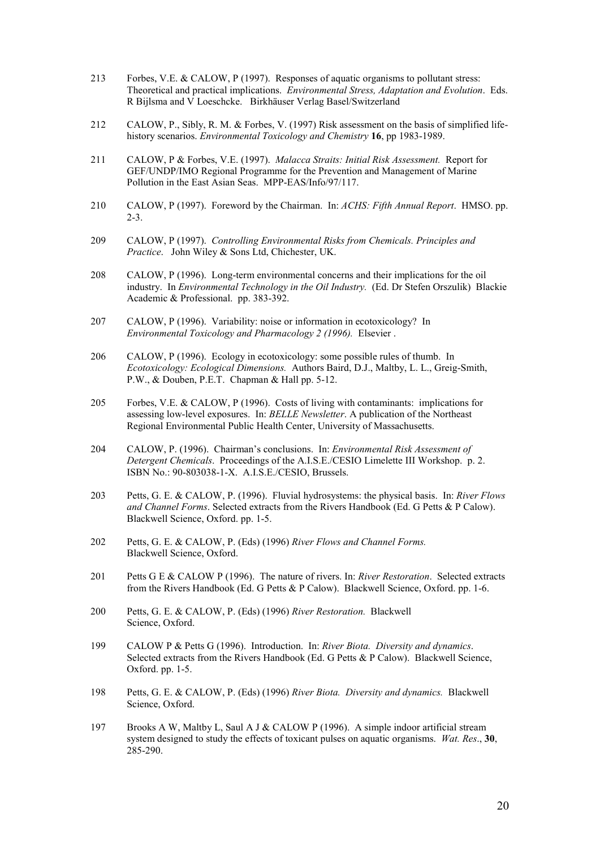- 213 Forbes, V.E. & CALOW, P (1997). Responses of aquatic organisms to pollutant stress: Theoretical and practical implications. *Environmental Stress, Adaptation and Evolution*. Eds. R Bijlsma and V Loeschcke. Birkhäuser Verlag Basel/Switzerland
- 212 CALOW, P., Sibly, R. M. & Forbes, V. (1997) Risk assessment on the basis of simplified lifehistory scenarios. *Environmental Toxicology and Chemistry* **16**, pp 1983-1989.
- 211 CALOW, P & Forbes, V.E. (1997). *Malacca Straits: Initial Risk Assessment.* Report for GEF/UNDP/IMO Regional Programme for the Prevention and Management of Marine Pollution in the East Asian Seas. MPP-EAS/Info/97/117.
- 210 CALOW, P (1997). Foreword by the Chairman. In: *ACHS: Fifth Annual Report*. HMSO. pp. 2-3.
- 209 CALOW, P (1997). *Controlling Environmental Risks from Chemicals. Principles and Practice*. John Wiley & Sons Ltd, Chichester, UK.
- 208 CALOW, P (1996). Long-term environmental concerns and their implications for the oil industry. In *Environmental Technology in the Oil Industry.* (Ed. Dr Stefen Orszulik) Blackie Academic & Professional. pp. 383-392.
- 207 CALOW, P (1996). Variability: noise or information in ecotoxicology? In *Environmental Toxicology and Pharmacology 2 (1996).* Elsevier .
- 206 CALOW, P (1996). Ecology in ecotoxicology: some possible rules of thumb. In *Ecotoxicology: Ecological Dimensions.* Authors Baird, D.J., Maltby, L. L., Greig-Smith, P.W., & Douben, P.E.T. Chapman & Hall pp. 5-12.
- 205 Forbes, V.E. & CALOW, P (1996). Costs of living with contaminants: implications for assessing low-level exposures. In: *BELLE Newsletter*. A publication of the Northeast Regional Environmental Public Health Center, University of Massachusetts.
- 204 CALOW, P. (1996). Chairman's conclusions. In: *Environmental Risk Assessment of Detergent Chemicals*. Proceedings of the A.I.S.E./CESIO Limelette III Workshop. p. 2. ISBN No.: 90-803038-1-X. A.I.S.E./CESIO, Brussels.
- 203 Petts, G. E. & CALOW, P. (1996). Fluvial hydrosystems: the physical basis. In: *River Flows and Channel Forms*. Selected extracts from the Rivers Handbook (Ed. G Petts & P Calow). Blackwell Science, Oxford. pp. 1-5.
- 202 Petts, G. E. & CALOW, P. (Eds) (1996) *River Flows and Channel Forms.*  Blackwell Science, Oxford.
- 201 Petts G E & CALOW P (1996). The nature of rivers. In: *River Restoration*. Selected extracts from the Rivers Handbook (Ed. G Petts & P Calow). Blackwell Science, Oxford. pp. 1-6.
- 200 Petts, G. E. & CALOW, P. (Eds) (1996) *River Restoration.* Blackwell Science, Oxford.
- 199 CALOW P & Petts G (1996). Introduction. In: *River Biota. Diversity and dynamics*. Selected extracts from the Rivers Handbook (Ed. G Petts & P Calow). Blackwell Science, Oxford. pp. 1-5.
- 198 Petts, G. E. & CALOW, P. (Eds) (1996) *River Biota. Diversity and dynamics.* Blackwell Science, Oxford.
- 197 Brooks A W, Maltby L, Saul A J & CALOW P (1996). A simple indoor artificial stream system designed to study the effects of toxicant pulses on aquatic organisms. *Wat. Res*., **30**, 285-290.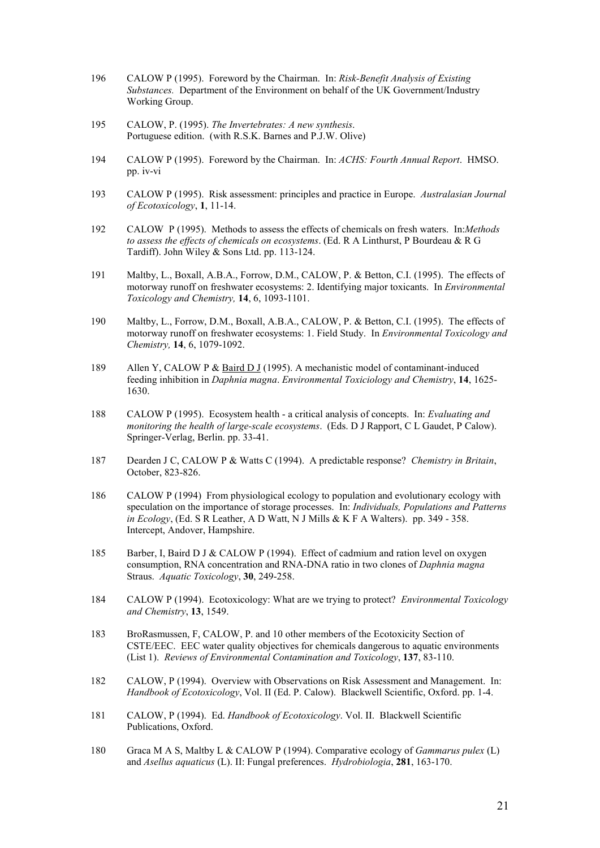- 196 CALOW P (1995). Foreword by the Chairman. In: *Risk-Benefit Analysis of Existing Substances.* Department of the Environment on behalf of the UK Government/Industry Working Group.
- 195 CALOW, P. (1995). *The Invertebrates: A new synthesis*. Portuguese edition. (with R.S.K. Barnes and P.J.W. Olive)
- 194 CALOW P (1995). Foreword by the Chairman. In: *ACHS: Fourth Annual Report*. HMSO. pp. iv-vi
- 193 CALOW P (1995). Risk assessment: principles and practice in Europe. *Australasian Journal of Ecotoxicology*, **1**, 11-14.
- 192 CALOW P (1995). Methods to assess the effects of chemicals on fresh waters. In:*Methods to assess the effects of chemicals on ecosystems*. (Ed. R A Linthurst, P Bourdeau & R G Tardiff). John Wiley & Sons Ltd. pp. 113-124.
- 191 Maltby, L., Boxall, A.B.A., Forrow, D.M., CALOW, P. & Betton, C.I. (1995). The effects of motorway runoff on freshwater ecosystems: 2. Identifying major toxicants. In *Environmental Toxicology and Chemistry,* **14**, 6, 1093-1101.
- 190 Maltby, L., Forrow, D.M., Boxall, A.B.A., CALOW, P. & Betton, C.I. (1995). The effects of motorway runoff on freshwater ecosystems: 1. Field Study. In *Environmental Toxicology and Chemistry,* **14**, 6, 1079-1092.
- 189 Allen Y, CALOW P & Baird D J (1995). A mechanistic model of contaminant-induced feeding inhibition in *Daphnia magna*. *Environmental Toxiciology and Chemistry*, **14**, 1625- 1630.
- 188 CALOW P (1995). Ecosystem health a critical analysis of concepts. In: *Evaluating and monitoring the health of large-scale ecosystems*. (Eds. D J Rapport, C L Gaudet, P Calow). Springer-Verlag, Berlin. pp. 33-41.
- 187 Dearden J C, CALOW P & Watts C (1994). A predictable response? *Chemistry in Britain*, October, 823-826.
- 186 CALOW P (1994) From physiological ecology to population and evolutionary ecology with speculation on the importance of storage processes. In: *Individuals, Populations and Patterns in Ecology*, (Ed. S R Leather, A D Watt, N J Mills & K F A Walters). pp. 349 - 358. Intercept, Andover, Hampshire.
- 185 Barber, I, Baird D J & CALOW P (1994). Effect of cadmium and ration level on oxygen consumption, RNA concentration and RNA-DNA ratio in two clones of *Daphnia magna* Straus. *Aquatic Toxicology*, **30**, 249-258.
- 184 CALOW P (1994). Ecotoxicology: What are we trying to protect? *Environmental Toxicology and Chemistry*, **13**, 1549.
- 183 BroRasmussen, F, CALOW, P. and 10 other members of the Ecotoxicity Section of CSTE/EEC. EEC water quality objectives for chemicals dangerous to aquatic environments (List 1). *Reviews of Environmental Contamination and Toxicology*, **137**, 83-110.
- 182 CALOW, P (1994). Overview with Observations on Risk Assessment and Management. In: *Handbook of Ecotoxicology*, Vol. II (Ed. P. Calow). Blackwell Scientific, Oxford. pp. 1-4.
- 181 CALOW, P (1994). Ed. *Handbook of Ecotoxicology*. Vol. II. Blackwell Scientific Publications, Oxford.
- 180 Graca M A S, Maltby L & CALOW P (1994). Comparative ecology of *Gammarus pulex* (L) and *Asellus aquaticus* (L). II: Fungal preferences. *Hydrobiologia*, **281**, 163-170.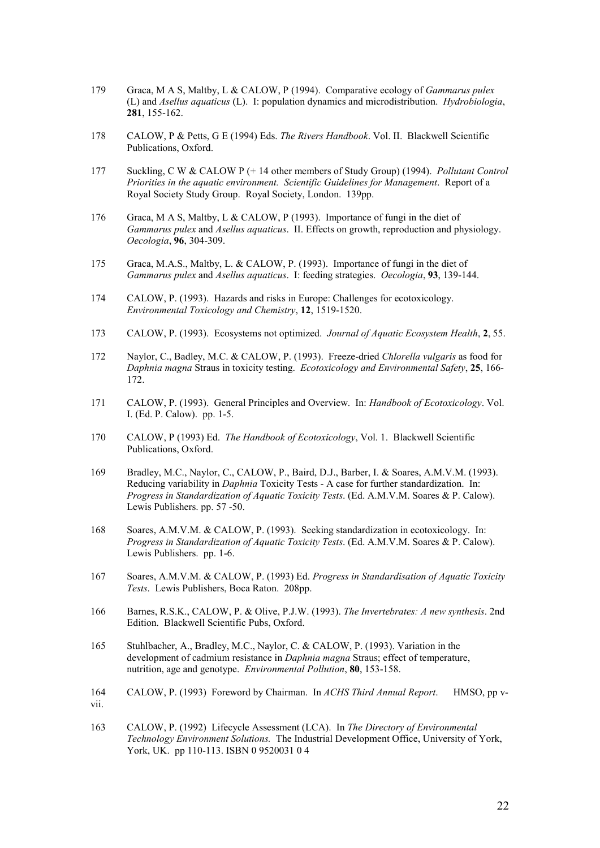- 179 Graca, M A S, Maltby, L & CALOW, P (1994). Comparative ecology of *Gammarus pulex* (L) and *Asellus aquaticus* (L). I: population dynamics and microdistribution. *Hydrobiologia*, **281**, 155-162.
- 178 CALOW, P & Petts, G E (1994) Eds. *The Rivers Handbook*. Vol. II. Blackwell Scientific Publications, Oxford.
- 177 Suckling, C W & CALOW P (+ 14 other members of Study Group) (1994). *Pollutant Control Priorities in the aquatic environment. Scientific Guidelines for Management*. Report of a Royal Society Study Group. Royal Society, London. 139pp.
- 176 Graca, M A S, Maltby, L & CALOW, P (1993). Importance of fungi in the diet of *Gammarus pulex* and *Asellus aquaticus*. II. Effects on growth, reproduction and physiology. *Oecologia*, **96**, 304-309.
- 175 Graca, M.A.S., Maltby, L. & CALOW, P. (1993). Importance of fungi in the diet of *Gammarus pulex* and *Asellus aquaticus*. I: feeding strategies. *Oecologia*, **93**, 139-144.
- 174 CALOW, P. (1993). Hazards and risks in Europe: Challenges for ecotoxicology. *Environmental Toxicology and Chemistry*, **12**, 1519-1520.
- 173 CALOW, P. (1993). Ecosystems not optimized. *Journal of Aquatic Ecosystem Health*, **2**, 55.
- 172 Naylor, C., Badley, M.C. & CALOW, P. (1993). Freeze-dried *Chlorella vulgaris* as food for *Daphnia magna* Straus in toxicity testing. *Ecotoxicology and Environmental Safety*, **25**, 166- 172.
- 171 CALOW, P. (1993). General Principles and Overview. In: *Handbook of Ecotoxicology*. Vol. I. (Ed. P. Calow). pp. 1-5.
- 170 CALOW, P (1993) Ed. *The Handbook of Ecotoxicology*, Vol. 1. Blackwell Scientific Publications, Oxford.
- 169 Bradley, M.C., Naylor, C., CALOW, P., Baird, D.J., Barber, I. & Soares, A.M.V.M. (1993). Reducing variability in *Daphnia* Toxicity Tests - A case for further standardization. In: *Progress in Standardization of Aquatic Toxicity Tests*. (Ed. A.M.V.M. Soares & P. Calow). Lewis Publishers. pp. 57 -50.
- 168 Soares, A.M.V.M. & CALOW, P. (1993). Seeking standardization in ecotoxicology. In: *Progress in Standardization of Aquatic Toxicity Tests*. (Ed. A.M.V.M. Soares & P. Calow). Lewis Publishers. pp. 1-6.
- 167 Soares, A.M.V.M. & CALOW, P. (1993) Ed. *Progress in Standardisation of Aquatic Toxicity Tests*. Lewis Publishers, Boca Raton. 208pp.
- 166 Barnes, R.S.K., CALOW, P. & Olive, P.J.W. (1993). *The Invertebrates: A new synthesis*. 2nd Edition. Blackwell Scientific Pubs, Oxford.
- 165 Stuhlbacher, A., Bradley, M.C., Naylor, C. & CALOW, P. (1993). Variation in the development of cadmium resistance in *Daphnia magna* Straus; effect of temperature, nutrition, age and genotype. *Environmental Pollution*, **80**, 153-158.
- 164 CALOW, P. (1993) Foreword by Chairman. In *ACHS Third Annual Report*. HMSO, pp vvii.

163 CALOW, P. (1992) Lifecycle Assessment (LCA). In *The Directory of Environmental Technology Environment Solutions.* The Industrial Development Office, University of York, York, UK. pp 110-113. ISBN 0 9520031 0 4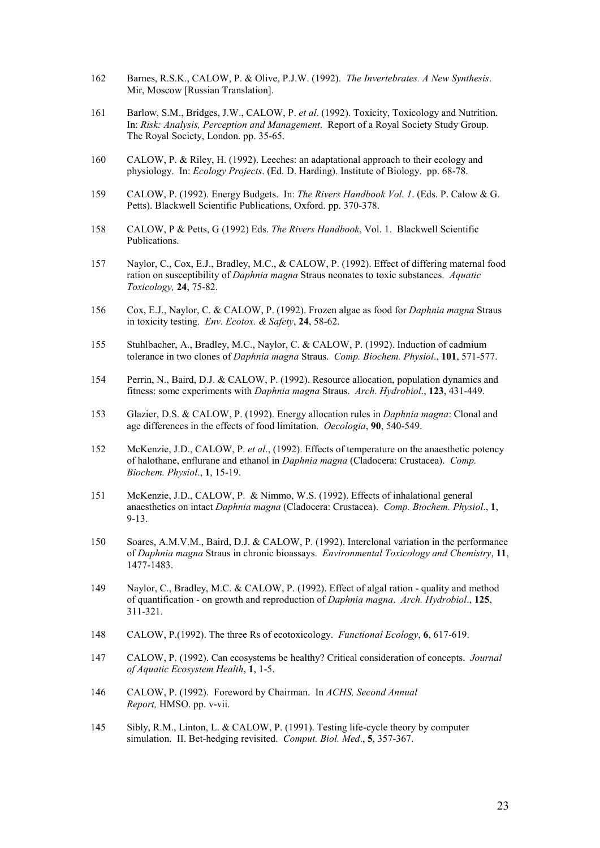- 162 Barnes, R.S.K., CALOW, P. & Olive, P.J.W. (1992). *The Invertebrates. A New Synthesis*. Mir, Moscow [Russian Translation].
- 161 Barlow, S.M., Bridges, J.W., CALOW, P. *et al*. (1992). Toxicity, Toxicology and Nutrition. In: *Risk: Analysis, Perception and Management*. Report of a Royal Society Study Group. The Royal Society, London. pp. 35-65.
- 160 CALOW, P. & Riley, H. (1992). Leeches: an adaptational approach to their ecology and physiology. In: *Ecology Projects*. (Ed. D. Harding). Institute of Biology. pp. 68-78.
- 159 CALOW, P. (1992). Energy Budgets. In: *The Rivers Handbook Vol. 1*. (Eds. P. Calow & G. Petts). Blackwell Scientific Publications, Oxford. pp. 370-378.
- 158 CALOW, P & Petts, G (1992) Eds. *The Rivers Handbook*, Vol. 1. Blackwell Scientific Publications.
- 157 Naylor, C., Cox, E.J., Bradley, M.C., & CALOW, P. (1992). Effect of differing maternal food ration on susceptibility of *Daphnia magna* Straus neonates to toxic substances. *Aquatic Toxicology,* **24**, 75-82.
- 156 Cox, E.J., Naylor, C. & CALOW, P. (1992). Frozen algae as food for *Daphnia magna* Straus in toxicity testing. *Env. Ecotox. & Safety*, **24**, 58-62.
- 155 Stuhlbacher, A., Bradley, M.C., Naylor, C. & CALOW, P. (1992). Induction of cadmium tolerance in two clones of *Daphnia magna* Straus. *Comp. Biochem. Physiol*., **101**, 571-577.
- 154 Perrin, N., Baird, D.J. & CALOW, P. (1992). Resource allocation, population dynamics and fitness: some experiments with *Daphnia magna* Straus. *Arch. Hydrobiol*., **123**, 431-449.
- 153 Glazier, D.S. & CALOW, P. (1992). Energy allocation rules in *Daphnia magna*: Clonal and age differences in the effects of food limitation. *Oecologia*, **90**, 540-549.
- 152 McKenzie, J.D., CALOW, P. *et al*., (1992). Effects of temperature on the anaesthetic potency of halothane, enflurane and ethanol in *Daphnia magna* (Cladocera: Crustacea). *Comp. Biochem. Physiol*., **1**, 15-19.
- 151 McKenzie, J.D., CALOW, P. & Nimmo, W.S. (1992). Effects of inhalational general anaesthetics on intact *Daphnia magna* (Cladocera: Crustacea). *Comp. Biochem. Physiol*., **1**, 9-13.
- 150 Soares, A.M.V.M., Baird, D.J. & CALOW, P. (1992). Interclonal variation in the performance of *Daphnia magna* Straus in chronic bioassays. *Environmental Toxicology and Chemistry*, **11**, 1477-1483.
- 149 Naylor, C., Bradley, M.C. & CALOW, P. (1992). Effect of algal ration quality and method of quantification - on growth and reproduction of *Daphnia magna*. *Arch. Hydrobiol*., **125**, 311-321.
- 148 CALOW, P.(1992). The three Rs of ecotoxicology. *Functional Ecology*, **6**, 617-619.
- 147 CALOW, P. (1992). Can ecosystems be healthy? Critical consideration of concepts. *Journal of Aquatic Ecosystem Health*, **1**, 1-5.
- 146 CALOW, P. (1992). Foreword by Chairman. In *ACHS, Second Annual Report,* HMSO. pp. v-vii.
- 145 Sibly, R.M., Linton, L. & CALOW, P. (1991). Testing life-cycle theory by computer simulation. II. Bet-hedging revisited. *Comput. Biol. Med*., **5**, 357-367.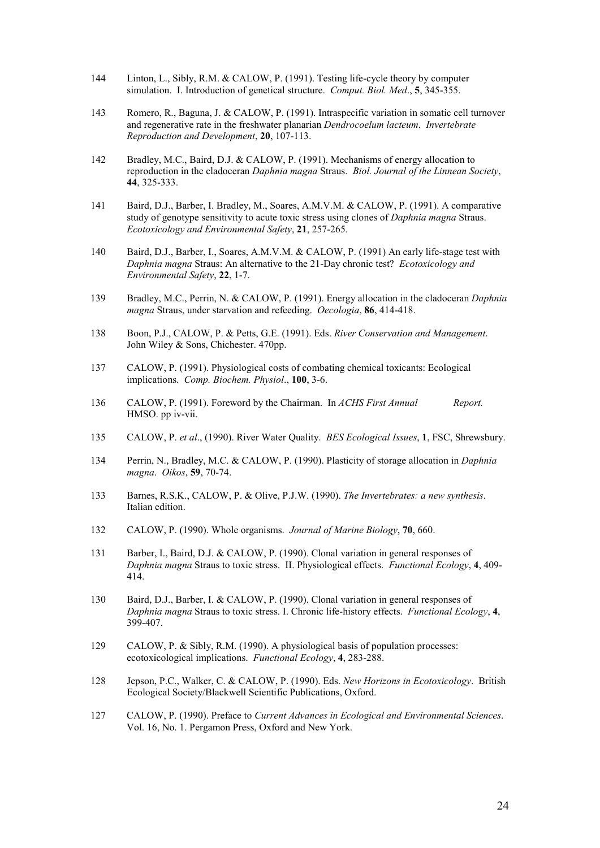- 144 Linton, L., Sibly, R.M. & CALOW, P. (1991). Testing life-cycle theory by computer simulation. I. Introduction of genetical structure. *Comput. Biol. Med*., **5**, 345-355.
- 143 Romero, R., Baguna, J. & CALOW, P. (1991). Intraspecific variation in somatic cell turnover and regenerative rate in the freshwater planarian *Dendrocoelum lacteum*. *Invertebrate Reproduction and Development*, **20**, 107-113.
- 142 Bradley, M.C., Baird, D.J. & CALOW, P. (1991). Mechanisms of energy allocation to reproduction in the cladoceran *Daphnia magna* Straus. *Biol. Journal of the Linnean Society*, **44**, 325-333.
- 141 Baird, D.J., Barber, I. Bradley, M., Soares, A.M.V.M. & CALOW, P. (1991). A comparative study of genotype sensitivity to acute toxic stress using clones of *Daphnia magna* Straus. *Ecotoxicology and Environmental Safety*, **21**, 257-265.
- 140 Baird, D.J., Barber, I., Soares, A.M.V.M. & CALOW, P. (1991) An early life-stage test with *Daphnia magna* Straus: An alternative to the 21-Day chronic test? *Ecotoxicology and Environmental Safety*, **22**, 1-7.
- 139 Bradley, M.C., Perrin, N. & CALOW, P. (1991). Energy allocation in the cladoceran *Daphnia magna* Straus, under starvation and refeeding. *Oecologia*, **86**, 414-418.
- 138 Boon, P.J., CALOW, P. & Petts, G.E. (1991). Eds. *River Conservation and Management*. John Wiley & Sons, Chichester. 470pp.
- 137 CALOW, P. (1991). Physiological costs of combating chemical toxicants: Ecological implications. *Comp. Biochem. Physiol*., **100**, 3-6.
- 136 CALOW, P. (1991). Foreword by the Chairman. In *ACHS First Annual Report.* HMSO. pp iv-vii.
- 135 CALOW, P. *et al*., (1990). River Water Quality. *BES Ecological Issues*, **1**, FSC, Shrewsbury.
- 134 Perrin, N., Bradley, M.C. & CALOW, P. (1990). Plasticity of storage allocation in *Daphnia magna*. *Oikos*, **59**, 70-74.
- 133 Barnes, R.S.K., CALOW, P. & Olive, P.J.W. (1990). *The Invertebrates: a new synthesis*. Italian edition.
- 132 CALOW, P. (1990). Whole organisms. *Journal of Marine Biology*, **70**, 660.
- 131 Barber, I., Baird, D.J. & CALOW, P. (1990). Clonal variation in general responses of *Daphnia magna* Straus to toxic stress. II. Physiological effects. *Functional Ecology*, **4**, 409- 414.
- 130 Baird, D.J., Barber, I. & CALOW, P. (1990). Clonal variation in general responses of *Daphnia magna* Straus to toxic stress. I. Chronic life-history effects. *Functional Ecology*, **4**, 399-407.
- 129 CALOW, P. & Sibly, R.M. (1990). A physiological basis of population processes: ecotoxicological implications. *Functional Ecology*, **4**, 283-288.
- 128 Jepson, P.C., Walker, C. & CALOW, P. (1990). Eds. *New Horizons in Ecotoxicology*. British Ecological Society/Blackwell Scientific Publications, Oxford.
- 127 CALOW, P. (1990). Preface to *Current Advances in Ecological and Environmental Sciences*. Vol. 16, No. 1. Pergamon Press, Oxford and New York.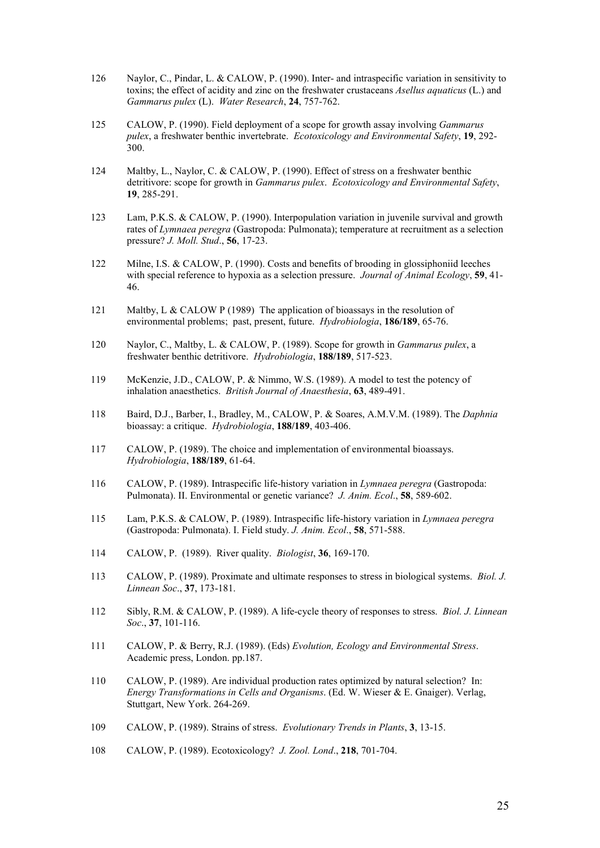- 126 Naylor, C., Pindar, L. & CALOW, P. (1990). Inter- and intraspecific variation in sensitivity to toxins; the effect of acidity and zinc on the freshwater crustaceans *Asellus aquaticus* (L.) and *Gammarus pulex* (L). *Water Research*, **24**, 757-762.
- 125 CALOW, P. (1990). Field deployment of a scope for growth assay involving *Gammarus pulex*, a freshwater benthic invertebrate. *Ecotoxicology and Environmental Safety*, **19**, 292- 300.
- 124 Maltby, L., Naylor, C. & CALOW, P. (1990). Effect of stress on a freshwater benthic detritivore: scope for growth in *Gammarus pulex*. *Ecotoxicology and Environmental Safety*, **19**, 285-291.
- 123 Lam, P.K.S. & CALOW, P. (1990). Interpopulation variation in juvenile survival and growth rates of *Lymnaea peregra* (Gastropoda: Pulmonata); temperature at recruitment as a selection pressure? *J. Moll. Stud*., **56**, 17-23.
- 122 Milne, I.S. & CALOW, P. (1990). Costs and benefits of brooding in glossiphoniid leeches with special reference to hypoxia as a selection pressure. *Journal of Animal Ecology*, **59**, 41- 46.
- 121 Maltby, L & CALOW P (1989) The application of bioassays in the resolution of environmental problems; past, present, future. *Hydrobiologia*, **186/189**, 65-76.
- 120 Naylor, C., Maltby, L. & CALOW, P. (1989). Scope for growth in *Gammarus pulex*, a freshwater benthic detritivore. *Hydrobiologia*, **188/189**, 517-523.
- 119 McKenzie, J.D., CALOW, P. & Nimmo, W.S. (1989). A model to test the potency of inhalation anaesthetics. *British Journal of Anaesthesia*, **63**, 489-491.
- 118 Baird, D.J., Barber, I., Bradley, M., CALOW, P. & Soares, A.M.V.M. (1989). The *Daphnia* bioassay: a critique. *Hydrobiologia*, **188/189**, 403-406.
- 117 CALOW, P. (1989). The choice and implementation of environmental bioassays. *Hydrobiologia*, **188/189**, 61-64.
- 116 CALOW, P. (1989). Intraspecific life-history variation in *Lymnaea peregra* (Gastropoda: Pulmonata). II. Environmental or genetic variance? *J. Anim. Ecol*., **58**, 589-602.
- 115 Lam, P.K.S. & CALOW, P. (1989). Intraspecific life-history variation in *Lymnaea peregra* (Gastropoda: Pulmonata). I. Field study. *J. Anim. Ecol*., **58**, 571-588.
- 114 CALOW, P. (1989). River quality. *Biologist*, **36**, 169-170.
- 113 CALOW, P. (1989). Proximate and ultimate responses to stress in biological systems. *Biol. J. Linnean Soc*., **37**, 173-181.
- 112 Sibly, R.M. & CALOW, P. (1989). A life-cycle theory of responses to stress. *Biol. J. Linnean Soc*., **37**, 101-116.
- 111 CALOW, P. & Berry, R.J. (1989). (Eds) *Evolution, Ecology and Environmental Stress*. Academic press, London. pp.187.
- 110 CALOW, P. (1989). Are individual production rates optimized by natural selection? In: *Energy Transformations in Cells and Organisms*. (Ed. W. Wieser & E. Gnaiger). Verlag, Stuttgart, New York. 264-269.
- 109 CALOW, P. (1989). Strains of stress. *Evolutionary Trends in Plants*, **3**, 13-15.
- 108 CALOW, P. (1989). Ecotoxicology? *J. Zool. Lond*., **218**, 701-704.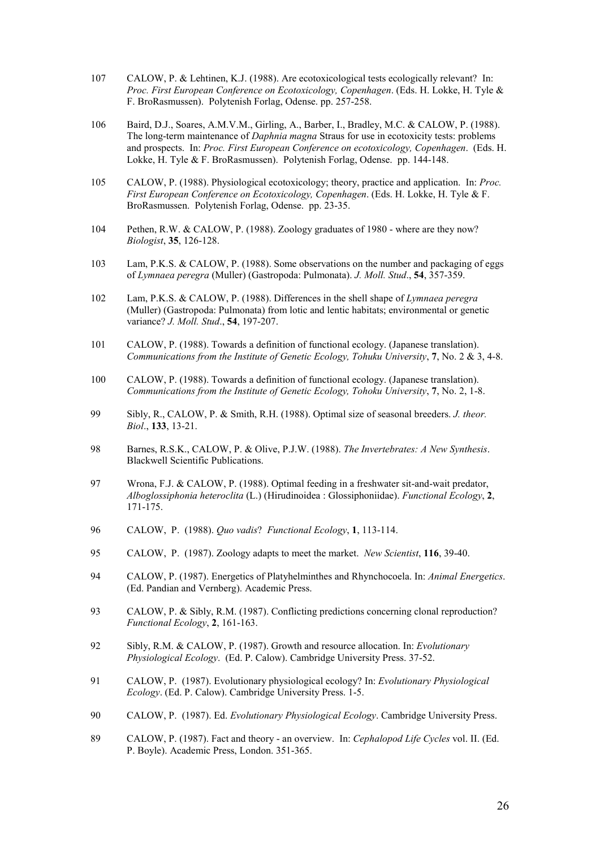- 107 CALOW, P. & Lehtinen, K.J. (1988). Are ecotoxicological tests ecologically relevant? In: *Proc. First European Conference on Ecotoxicology, Copenhagen*. (Eds. H. Lokke, H. Tyle & F. BroRasmussen). Polytenish Forlag, Odense. pp. 257-258.
- 106 Baird, D.J., Soares, A.M.V.M., Girling, A., Barber, I., Bradley, M.C. & CALOW, P. (1988). The long-term maintenance of *Daphnia magna* Straus for use in ecotoxicity tests: problems and prospects. In: *Proc. First European Conference on ecotoxicology, Copenhagen*. (Eds. H. Lokke, H. Tyle & F. BroRasmussen). Polytenish Forlag, Odense. pp. 144-148.
- 105 CALOW, P. (1988). Physiological ecotoxicology; theory, practice and application. In: *Proc. First European Conference on Ecotoxicology, Copenhagen*. (Eds. H. Lokke, H. Tyle & F. BroRasmussen. Polytenish Forlag, Odense. pp. 23-35.
- 104 Pethen, R.W. & CALOW, P. (1988). Zoology graduates of 1980 where are they now? *Biologist*, **35**, 126-128.
- 103 Lam, P.K.S. & CALOW, P. (1988). Some observations on the number and packaging of eggs of *Lymnaea peregra* (Muller) (Gastropoda: Pulmonata). *J. Moll. Stud*., **54**, 357-359.
- 102 Lam, P.K.S. & CALOW, P. (1988). Differences in the shell shape of *Lymnaea peregra* (Muller) (Gastropoda: Pulmonata) from lotic and lentic habitats; environmental or genetic variance? *J. Moll. Stud*., **54**, 197-207.
- 101 CALOW, P. (1988). Towards a definition of functional ecology. (Japanese translation). *Communications from the Institute of Genetic Ecology, Tohuku University*, **7**, No. 2 & 3, 4-8.
- 100 CALOW, P. (1988). Towards a definition of functional ecology. (Japanese translation). *Communications from the Institute of Genetic Ecology, Tohoku University*, **7**, No. 2, 1-8.
- 99 Sibly, R., CALOW, P. & Smith, R.H. (1988). Optimal size of seasonal breeders. *J. theor. Biol*., **133**, 13-21.
- 98 Barnes, R.S.K., CALOW, P. & Olive, P.J.W. (1988). *The Invertebrates: A New Synthesis*. Blackwell Scientific Publications.
- 97 Wrona, F.J. & CALOW, P. (1988). Optimal feeding in a freshwater sit-and-wait predator, *Alboglossiphonia heteroclita* (L.) (Hirudinoidea : Glossiphoniidae). *Functional Ecology*, **2**, 171-175.
- 96 CALOW, P. (1988). *Quo vadis*? *Functional Ecology*, **1**, 113-114.
- 95 CALOW, P. (1987). Zoology adapts to meet the market. *New Scientist*, **116**, 39-40.
- 94 CALOW, P. (1987). Energetics of Platyhelminthes and Rhynchocoela. In: *Animal Energetics*. (Ed. Pandian and Vernberg). Academic Press.
- 93 CALOW, P. & Sibly, R.M. (1987). Conflicting predictions concerning clonal reproduction? *Functional Ecology*, **2**, 161-163.
- 92 Sibly, R.M. & CALOW, P. (1987). Growth and resource allocation. In: *Evolutionary Physiological Ecology*. (Ed. P. Calow). Cambridge University Press. 37-52.
- 91 CALOW, P. (1987). Evolutionary physiological ecology? In: *Evolutionary Physiological Ecology*. (Ed. P. Calow). Cambridge University Press. 1-5.
- 90 CALOW, P. (1987). Ed. *Evolutionary Physiological Ecology*. Cambridge University Press.
- 89 CALOW, P. (1987). Fact and theory an overview. In: *Cephalopod Life Cycles* vol. II. (Ed. P. Boyle). Academic Press, London. 351-365.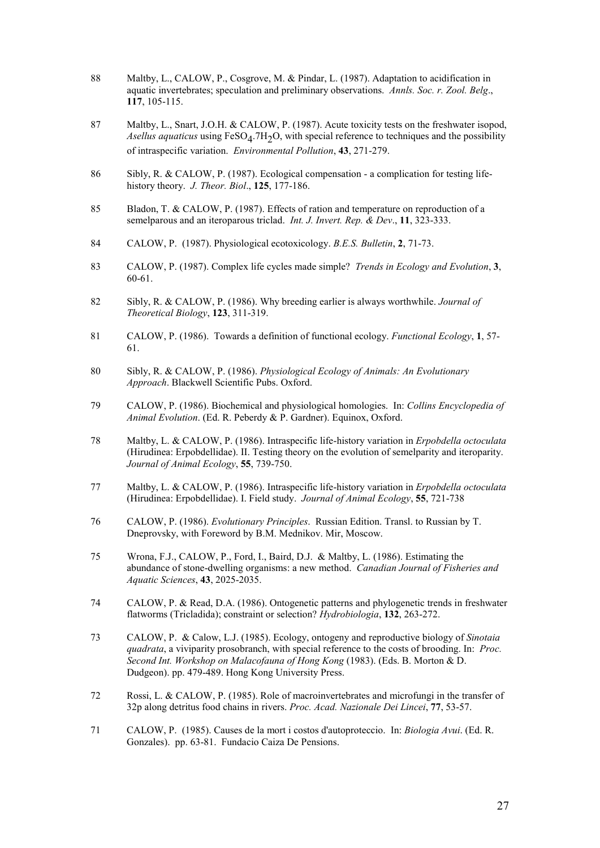- 88 Maltby, L., CALOW, P., Cosgrove, M. & Pindar, L. (1987). Adaptation to acidification in aquatic invertebrates; speculation and preliminary observations. *Annls. Soc. r. Zool. Belg*., **117**, 105-115.
- 87 Maltby, L., Snart, J.O.H. & CALOW, P. (1987). Acute toxicity tests on the freshwater isopod, *Asellus aquaticus* using FeSO4.7H2O, with special reference to techniques and the possibility of intraspecific variation. *Environmental Pollution*, **43**, 271-279.
- 86 Sibly, R. & CALOW, P. (1987). Ecological compensation a complication for testing lifehistory theory. *J. Theor. Biol*., **125**, 177-186.
- 85 Bladon, T. & CALOW, P. (1987). Effects of ration and temperature on reproduction of a semelparous and an iteroparous triclad. *Int. J. Invert. Rep. & Dev*., **11**, 323-333.
- 84 CALOW, P. (1987). Physiological ecotoxicology. *B.E.S. Bulletin*, **2**, 71-73.
- 83 CALOW, P. (1987). Complex life cycles made simple? *Trends in Ecology and Evolution*, **3**, 60-61.
- 82 Sibly, R. & CALOW, P. (1986). Why breeding earlier is always worthwhile. *Journal of Theoretical Biology*, **123**, 311-319.
- 81 CALOW, P. (1986). Towards a definition of functional ecology. *Functional Ecology*, **1**, 57- 61.
- 80 Sibly, R. & CALOW, P. (1986). *Physiological Ecology of Animals: An Evolutionary Approach*. Blackwell Scientific Pubs. Oxford.
- 79 CALOW, P. (1986). Biochemical and physiological homologies. In: *Collins Encyclopedia of Animal Evolution*. (Ed. R. Peberdy & P. Gardner). Equinox, Oxford.
- 78 Maltby, L. & CALOW, P. (1986). Intraspecific life-history variation in *Erpobdella octoculata* (Hirudinea: Erpobdellidae). II. Testing theory on the evolution of semelparity and iteroparity. *Journal of Animal Ecology*, **55**, 739-750.
- 77 Maltby, L. & CALOW, P. (1986). Intraspecific life-history variation in *Erpobdella octoculata* (Hirudinea: Erpobdellidae). I. Field study. *Journal of Animal Ecology*, **55**, 721-738
- 76 CALOW, P. (1986). *Evolutionary Principles*. Russian Edition. Transl. to Russian by T. Dneprovsky, with Foreword by B.M. Mednikov. Mir, Moscow.
- 75 Wrona, F.J., CALOW, P., Ford, I., Baird, D.J. & Maltby, L. (1986). Estimating the abundance of stone-dwelling organisms: a new method. *Canadian Journal of Fisheries and Aquatic Sciences*, **43**, 2025-2035.
- 74 CALOW, P. & Read, D.A. (1986). Ontogenetic patterns and phylogenetic trends in freshwater flatworms (Tricladida); constraint or selection? *Hydrobiologia*, **132**, 263-272.
- 73 CALOW, P. & Calow, L.J. (1985). Ecology, ontogeny and reproductive biology of *Sinotaia quadrata*, a viviparity prosobranch, with special reference to the costs of brooding. In: *Proc. Second Int. Workshop on Malacofauna of Hong Kong* (1983). (Eds. B. Morton & D. Dudgeon). pp. 479-489. Hong Kong University Press.
- 72 Rossi, L. & CALOW, P. (1985). Role of macroinvertebrates and microfungi in the transfer of 32p along detritus food chains in rivers. *Proc. Acad. Nazionale Dei Lincei*, **77**, 53-57.
- 71 CALOW, P. (1985). Causes de la mort i costos d'autoproteccio. In: *Biologia Avui*. (Ed. R. Gonzales). pp. 63-81. Fundacio Caiza De Pensions.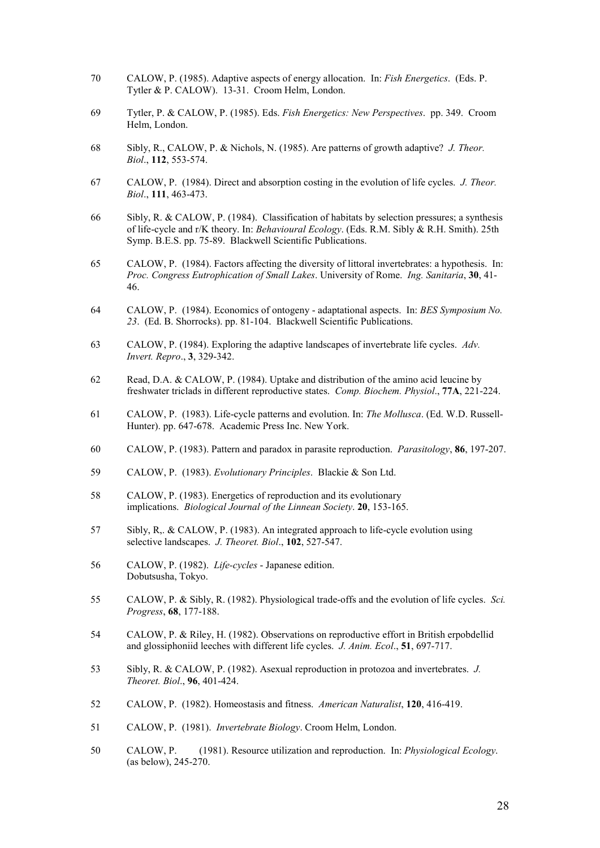- 70 CALOW, P. (1985). Adaptive aspects of energy allocation. In: *Fish Energetics*. (Eds. P. Tytler & P. CALOW). 13-31. Croom Helm, London.
- 69 Tytler, P. & CALOW, P. (1985). Eds. *Fish Energetics: New Perspectives*. pp. 349. Croom Helm, London.
- 68 Sibly, R., CALOW, P. & Nichols, N. (1985). Are patterns of growth adaptive? *J. Theor. Biol*., **112**, 553-574.
- 67 CALOW, P. (1984). Direct and absorption costing in the evolution of life cycles. *J. Theor. Biol*., **111**, 463-473.
- 66 Sibly, R. & CALOW, P. (1984). Classification of habitats by selection pressures; a synthesis of life-cycle and r/K theory. In: *Behavioural Ecology*. (Eds. R.M. Sibly & R.H. Smith). 25th Symp. B.E.S. pp. 75-89. Blackwell Scientific Publications.
- 65 CALOW, P. (1984). Factors affecting the diversity of littoral invertebrates: a hypothesis. In: *Proc. Congress Eutrophication of Small Lakes*. University of Rome. *Ing. Sanitaria*, **30**, 41- 46.
- 64 CALOW, P. (1984). Economics of ontogeny adaptational aspects. In: *BES Symposium No. 23*. (Ed. B. Shorrocks). pp. 81-104. Blackwell Scientific Publications.
- 63 CALOW, P. (1984). Exploring the adaptive landscapes of invertebrate life cycles. *Adv. Invert. Repro*., **3**, 329-342.
- 62 Read, D.A. & CALOW, P. (1984). Uptake and distribution of the amino acid leucine by freshwater triclads in different reproductive states. *Comp. Biochem. Physiol*., **77A**, 221-224.
- 61 CALOW, P. (1983). Life-cycle patterns and evolution. In: *The Mollusca*. (Ed. W.D. Russell-Hunter). pp. 647-678. Academic Press Inc. New York.
- 60 CALOW, P. (1983). Pattern and paradox in parasite reproduction. *Parasitology*, **86**, 197-207.
- 59 CALOW, P. (1983). *Evolutionary Principles*. Blackie & Son Ltd.
- 58 CALOW, P. (1983). Energetics of reproduction and its evolutionary implications. *Biological Journal of the Linnean Society*. **20**, 153-165.
- 57 Sibly, R,. & CALOW, P. (1983). An integrated approach to life-cycle evolution using selective landscapes. *J. Theoret. Biol*., **102**, 527-547.
- 56 CALOW, P. (1982). *Life-cycles* Japanese edition. Dobutsusha, Tokyo.
- 55 CALOW, P. & Sibly, R. (1982). Physiological trade-offs and the evolution of life cycles. *Sci. Progress*, **68**, 177-188.
- 54 CALOW, P. & Riley, H. (1982). Observations on reproductive effort in British erpobdellid and glossiphoniid leeches with different life cycles. *J. Anim. Ecol*., **51**, 697-717.
- 53 Sibly, R. & CALOW, P. (1982). Asexual reproduction in protozoa and invertebrates. *J. Theoret. Biol*., **96**, 401-424.
- 52 CALOW, P. (1982). Homeostasis and fitness. *American Naturalist*, **120**, 416-419.
- 51 CALOW, P. (1981). *Invertebrate Biology*. Croom Helm, London.
- 50 CALOW, P. (1981). Resource utilization and reproduction. In: *Physiological Ecology*. (as below), 245-270.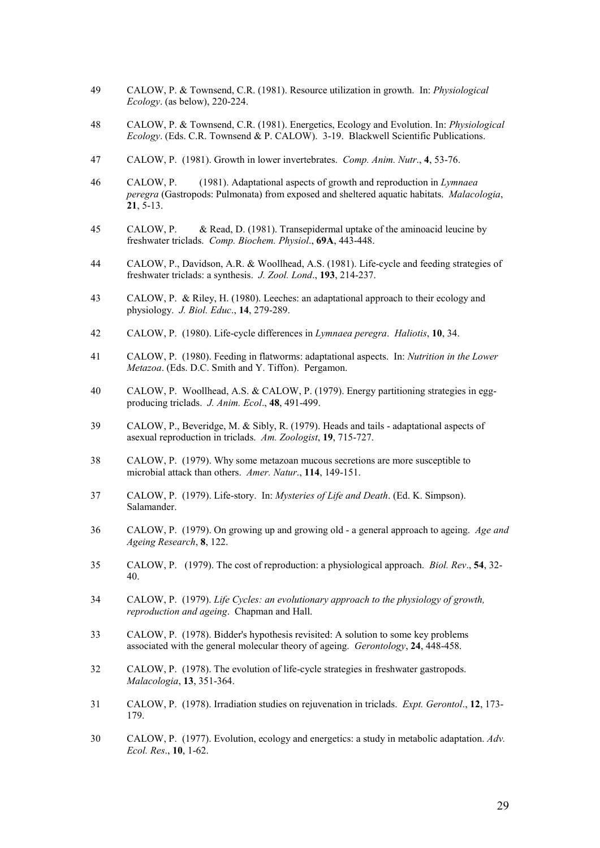- 49 CALOW, P. & Townsend, C.R. (1981). Resource utilization in growth. In: *Physiological Ecology*. (as below), 220-224.
- 48 CALOW, P. & Townsend, C.R. (1981). Energetics, Ecology and Evolution. In: *Physiological Ecology*. (Eds. C.R. Townsend & P. CALOW). 3-19. Blackwell Scientific Publications.
- 47 CALOW, P. (1981). Growth in lower invertebrates. *Comp. Anim. Nutr*., **4**, 53-76.
- 46 CALOW, P. (1981). Adaptational aspects of growth and reproduction in *Lymnaea peregra* (Gastropods: Pulmonata) from exposed and sheltered aquatic habitats. *Malacologia*, **21**, 5-13.
- 45 CALOW, P. & Read, D. (1981). Transepidermal uptake of the aminoacid leucine by freshwater triclads. *Comp. Biochem. Physiol*., **69A**, 443-448.
- 44 CALOW, P., Davidson, A.R. & Woollhead, A.S. (1981). Life-cycle and feeding strategies of freshwater triclads: a synthesis. *J. Zool. Lond*., **193**, 214-237.
- 43 CALOW, P. & Riley, H. (1980). Leeches: an adaptational approach to their ecology and physiology. *J. Biol. Educ*., **14**, 279-289.
- 42 CALOW, P. (1980). Life-cycle differences in *Lymnaea peregra*. *Haliotis*, **10**, 34.
- 41 CALOW, P. (1980). Feeding in flatworms: adaptational aspects. In: *Nutrition in the Lower Metazoa*. (Eds. D.C. Smith and Y. Tiffon). Pergamon.
- 40 CALOW, P. Woollhead, A.S. & CALOW, P. (1979). Energy partitioning strategies in eggproducing triclads. *J. Anim. Ecol*., **48**, 491-499.
- 39 CALOW, P., Beveridge, M. & Sibly, R. (1979). Heads and tails adaptational aspects of asexual reproduction in triclads. *Am. Zoologist*, **19**, 715-727.
- 38 CALOW, P. (1979). Why some metazoan mucous secretions are more susceptible to microbial attack than others. *Amer. Natur*., **114**, 149-151.
- 37 CALOW, P. (1979). Life-story. In: *Mysteries of Life and Death*. (Ed. K. Simpson). Salamander.
- 36 CALOW, P. (1979). On growing up and growing old a general approach to ageing. *Age and Ageing Research*, **8**, 122.
- 35 CALOW, P. (1979). The cost of reproduction: a physiological approach. *Biol. Rev*., **54**, 32- 40.
- 34 CALOW, P. (1979). *Life Cycles: an evolutionary approach to the physiology of growth, reproduction and ageing*. Chapman and Hall.
- 33 CALOW, P. (1978). Bidder's hypothesis revisited: A solution to some key problems associated with the general molecular theory of ageing. *Gerontology*, **24**, 448-458.
- 32 CALOW, P. (1978). The evolution of life-cycle strategies in freshwater gastropods. *Malacologia*, **13**, 351-364.
- 31 CALOW, P. (1978). Irradiation studies on rejuvenation in triclads. *Expt. Gerontol*., **12**, 173- 179.
- 30 CALOW, P. (1977). Evolution, ecology and energetics: a study in metabolic adaptation. *Adv. Ecol. Res*., **10**, 1-62.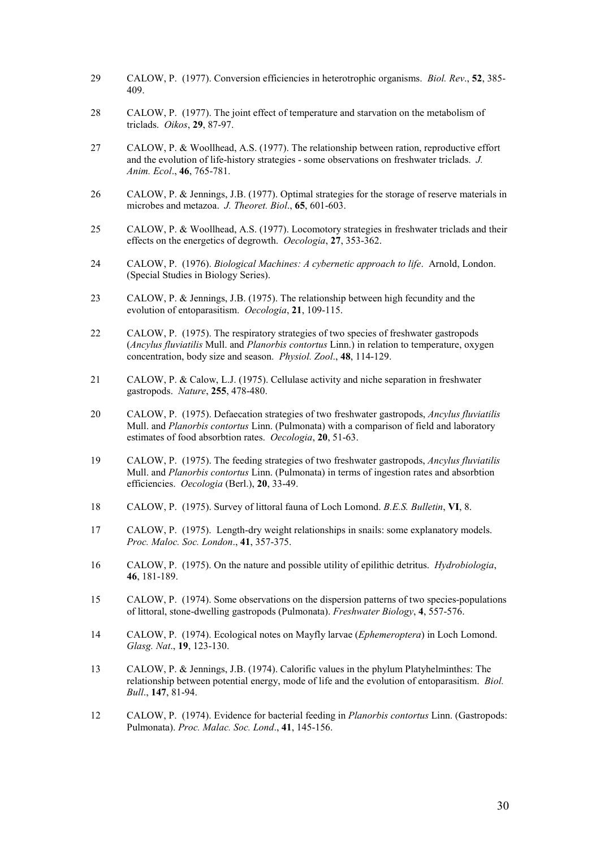- 29 CALOW, P. (1977). Conversion efficiencies in heterotrophic organisms. *Biol. Rev*., **52**, 385- 409.
- 28 CALOW, P. (1977). The joint effect of temperature and starvation on the metabolism of triclads. *Oikos*, **29**, 87-97.
- 27 CALOW, P. & Woollhead, A.S. (1977). The relationship between ration, reproductive effort and the evolution of life-history strategies - some observations on freshwater triclads. *J. Anim. Ecol*., **46**, 765-781.
- 26 CALOW, P. & Jennings, J.B. (1977). Optimal strategies for the storage of reserve materials in microbes and metazoa. *J. Theoret. Biol*., **65**, 601-603.
- 25 CALOW, P. & Woollhead, A.S. (1977). Locomotory strategies in freshwater triclads and their effects on the energetics of degrowth. *Oecologia*, **27**, 353-362.
- 24 CALOW, P. (1976). *Biological Machines: A cybernetic approach to life*. Arnold, London. (Special Studies in Biology Series).
- 23 CALOW, P. & Jennings, J.B. (1975). The relationship between high fecundity and the evolution of entoparasitism. *Oecologia*, **21**, 109-115.
- 22 CALOW, P. (1975). The respiratory strategies of two species of freshwater gastropods (*Ancylus fluviatilis* Mull. and *Planorbis contortus* Linn.) in relation to temperature, oxygen concentration, body size and season. *Physiol. Zool*., **48**, 114-129.
- 21 CALOW, P. & Calow, L.J. (1975). Cellulase activity and niche separation in freshwater gastropods. *Nature*, **255**, 478-480.
- 20 CALOW, P. (1975). Defaecation strategies of two freshwater gastropods, *Ancylus fluviatilis* Mull. and *Planorbis contortus* Linn. (Pulmonata) with a comparison of field and laboratory estimates of food absorbtion rates. *Oecologia*, **20**, 51-63.
- 19 CALOW, P. (1975). The feeding strategies of two freshwater gastropods, *Ancylus fluviatilis* Mull. and *Planorbis contortus* Linn. (Pulmonata) in terms of ingestion rates and absorbtion efficiencies. *Oecologia* (Berl.), **20**, 33-49.
- 18 CALOW, P. (1975). Survey of littoral fauna of Loch Lomond. *B.E.S. Bulletin*, **VI**, 8.
- 17 CALOW, P. (1975). Length-dry weight relationships in snails: some explanatory models. *Proc. Maloc. Soc. London*., **41**, 357-375.
- 16 CALOW, P. (1975). On the nature and possible utility of epilithic detritus. *Hydrobiologia*, **46**, 181-189.
- 15 CALOW, P. (1974). Some observations on the dispersion patterns of two species-populations of littoral, stone-dwelling gastropods (Pulmonata). *Freshwater Biology*, **4**, 557-576.
- 14 CALOW, P. (1974). Ecological notes on Mayfly larvae (*Ephemeroptera*) in Loch Lomond. *Glasg. Nat*., **19**, 123-130.
- 13 CALOW, P. & Jennings, J.B. (1974). Calorific values in the phylum Platyhelminthes: The relationship between potential energy, mode of life and the evolution of entoparasitism. *Biol. Bull*., **147**, 81-94.
- 12 CALOW, P. (1974). Evidence for bacterial feeding in *Planorbis contortus* Linn. (Gastropods: Pulmonata). *Proc. Malac. Soc. Lond*., **41**, 145-156.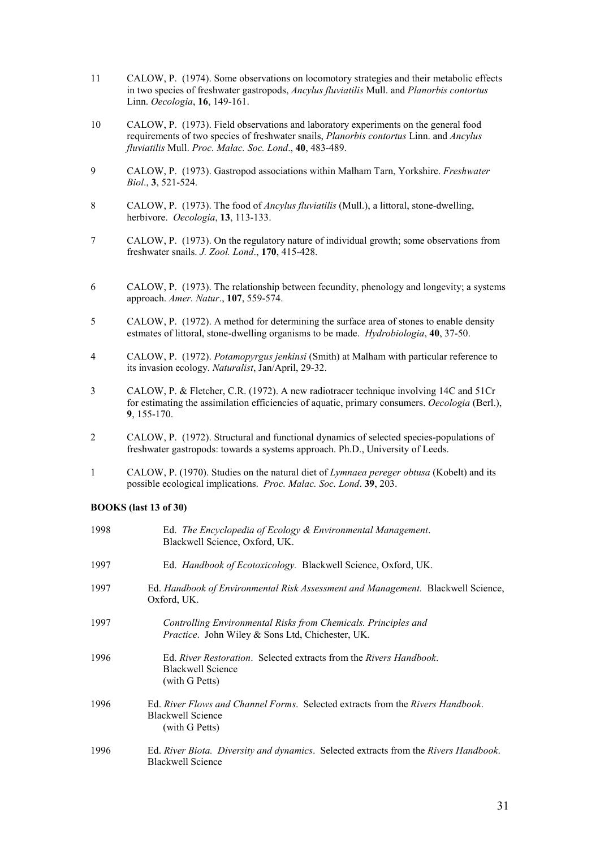- 11 CALOW, P. (1974). Some observations on locomotory strategies and their metabolic effects in two species of freshwater gastropods, *Ancylus fluviatilis* Mull. and *Planorbis contortus* Linn. *Oecologia*, **16**, 149-161.
- 10 CALOW, P. (1973). Field observations and laboratory experiments on the general food requirements of two species of freshwater snails, *Planorbis contortus* Linn. and *Ancylus fluviatilis* Mull. *Proc. Malac. Soc. Lond*., **40**, 483-489.
- 9 CALOW, P. (1973). Gastropod associations within Malham Tarn, Yorkshire. *Freshwater Biol*., **3**, 521-524.
- 8 CALOW, P. (1973). The food of *Ancylus fluviatilis* (Mull.), a littoral, stone-dwelling, herbivore. *Oecologia*, **13**, 113-133.
- 7 CALOW, P. (1973). On the regulatory nature of individual growth; some observations from freshwater snails. *J. Zool. Lond*., **170**, 415-428.
- 6 CALOW, P. (1973). The relationship between fecundity, phenology and longevity; a systems approach. *Amer. Natur*., **107**, 559-574.
- 5 CALOW, P. (1972). A method for determining the surface area of stones to enable density estmates of littoral, stone-dwelling organisms to be made. *Hydrobiologia*, **40**, 37-50.
- 4 CALOW, P. (1972). *Potamopyrgus jenkinsi* (Smith) at Malham with particular reference to its invasion ecology. *Naturalist*, Jan/April, 29-32.
- 3 CALOW, P. & Fletcher, C.R. (1972). A new radiotracer technique involving 14C and 51Cr for estimating the assimilation efficiencies of aquatic, primary consumers. *Oecologia* (Berl.), **9**, 155-170.
- 2 CALOW, P. (1972). Structural and functional dynamics of selected species-populations of freshwater gastropods: towards a systems approach. Ph.D., University of Leeds.
- 1 CALOW, P. (1970). Studies on the natural diet of *Lymnaea pereger obtusa* (Kobelt) and its possible ecological implications. *Proc. Malac. Soc. Lond*. **39**, 203.

#### **BOOKS (last 13 of 30)**

| 1998 | Ed. The Encyclopedia of Ecology & Environmental Management.<br>Blackwell Science, Oxford, UK.                         |
|------|-----------------------------------------------------------------------------------------------------------------------|
| 1997 | Ed. <i>Handbook of Ecotoxicology</i> . Blackwell Science, Oxford, UK.                                                 |
| 1997 | Ed. Handbook of Environmental Risk Assessment and Management. Blackwell Science,<br>Oxford, UK.                       |
| 1997 | Controlling Environmental Risks from Chemicals. Principles and<br>Practice. John Wiley & Sons Ltd, Chichester, UK.    |
| 1996 | Ed. River Restoration. Selected extracts from the Rivers Handbook.<br>Blackwell Science<br>(with G Petts)             |
| 1996 | Ed. River Flows and Channel Forms. Selected extracts from the Rivers Handbook.<br>Blackwell Science<br>(with G Petts) |
| 1996 | Ed. River Biota. Diversity and dynamics. Selected extracts from the Rivers Handbook.<br>Blackwell Science             |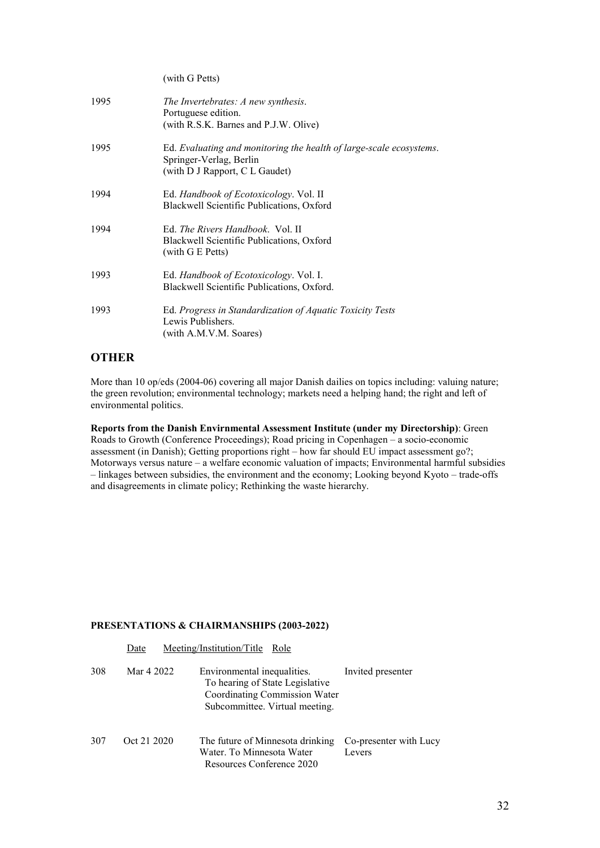|      | (with G Petts)                                                                                                                   |
|------|----------------------------------------------------------------------------------------------------------------------------------|
| 1995 | The Invertebrates: A new synthesis.<br>Portuguese edition.<br>(with R.S.K. Barnes and P.J.W. Olive)                              |
| 1995 | Ed. Evaluating and monitoring the health of large-scale ecosystems.<br>Springer-Verlag, Berlin<br>(with D J Rapport, C L Gaudet) |
| 1994 | Ed. <i>Handbook of Ecotoxicology</i> . Vol. II<br>Blackwell Scientific Publications, Oxford                                      |
| 1994 | Ed. <i>The Rivers Handbook</i> . Vol. II<br>Blackwell Scientific Publications, Oxford<br>(with G E Petts)                        |
| 1993 | Ed. Handbook of Ecotoxicology. Vol. I.<br>Blackwell Scientific Publications, Oxford.                                             |
| 1993 | Ed. Progress in Standardization of Aquatic Toxicity Tests<br>Lewis Publishers.<br>(with A.M.V.M. Soares)                         |

## **OTHER**

More than 10 op/eds (2004-06) covering all major Danish dailies on topics including: valuing nature; the green revolution; environmental technology; markets need a helping hand; the right and left of environmental politics.

**Reports from the Danish Envirnmental Assessment Institute (under my Directorship)**: Green Roads to Growth (Conference Proceedings); Road pricing in Copenhagen – a socio-economic assessment (in Danish); Getting proportions right – how far should EU impact assessment go?; Motorways versus nature – a welfare economic valuation of impacts; Environmental harmful subsidies – linkages between subsidies, the environment and the economy; Looking beyond Kyoto – trade-offs and disagreements in climate policy; Rethinking the waste hierarchy.

#### **PRESENTATIONS & CHAIRMANSHIPS (2003-2022)**

|     | Date        | Meeting/Institution/Title Role                                                                                                    |                                  |
|-----|-------------|-----------------------------------------------------------------------------------------------------------------------------------|----------------------------------|
| 308 | Mar 4 2022  | Environmental inequalities.<br>To hearing of State Legislative<br>Coordinating Commission Water<br>Subcommittee. Virtual meeting. | Invited presenter                |
| 307 | Oct 21 2020 | The future of Minnesota drinking<br>Water. To Minnesota Water<br>Resources Conference 2020                                        | Co-presenter with Lucy<br>Levers |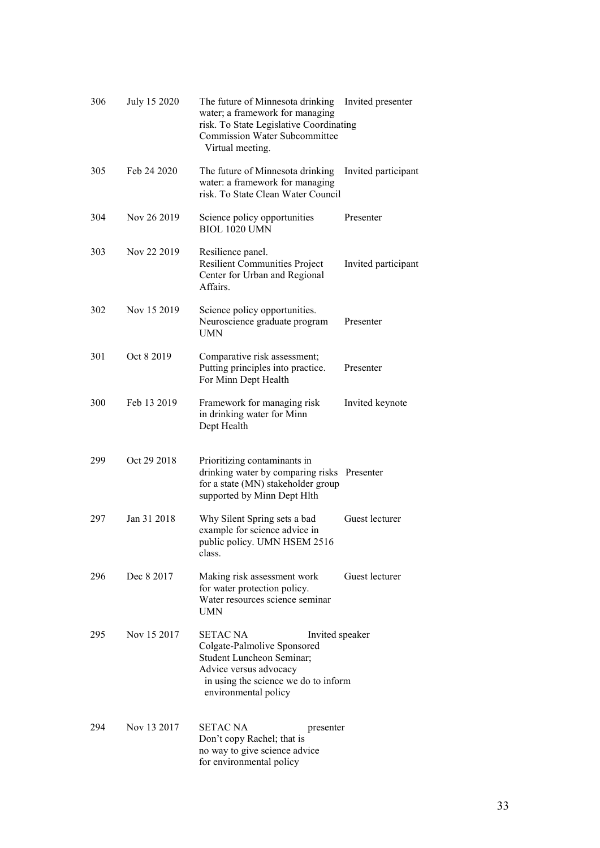| 306 | July 15 2020 | The future of Minnesota drinking<br>water; a framework for managing<br>risk. To State Legislative Coordinating<br>Commission Water Subcommittee<br>Virtual meeting.                      | Invited presenter   |
|-----|--------------|------------------------------------------------------------------------------------------------------------------------------------------------------------------------------------------|---------------------|
| 305 | Feb 24 2020  | The future of Minnesota drinking<br>water: a framework for managing<br>risk. To State Clean Water Council                                                                                | Invited participant |
| 304 | Nov 26 2019  | Science policy opportunities<br><b>BIOL 1020 UMN</b>                                                                                                                                     | Presenter           |
| 303 | Nov 22 2019  | Resilience panel.<br><b>Resilient Communities Project</b><br>Center for Urban and Regional<br>Affairs.                                                                                   | Invited participant |
| 302 | Nov 15 2019  | Science policy opportunities.<br>Neuroscience graduate program<br>UMN                                                                                                                    | Presenter           |
| 301 | Oct 8 2019   | Comparative risk assessment;<br>Putting principles into practice.<br>For Minn Dept Health                                                                                                | Presenter           |
| 300 | Feb 13 2019  | Framework for managing risk<br>in drinking water for Minn<br>Dept Health                                                                                                                 | Invited keynote     |
| 299 | Oct 29 2018  | Prioritizing contaminants in<br>drinking water by comparing risks Presenter<br>for a state (MN) stakeholder group<br>supported by Minn Dept Hlth                                         |                     |
| 297 | Jan 31 2018  | Why Silent Spring sets a bad<br>example for science advice in<br>public policy. UMN HSEM 2516<br>class.                                                                                  | Guest lecturer      |
| 296 | Dec 8 2017   | Making risk assessment work<br>for water protection policy.<br>Water resources science seminar<br>UMN                                                                                    | Guest lecturer      |
| 295 | Nov 15 2017  | <b>SETAC NA</b><br>Invited speaker<br>Colgate-Palmolive Sponsored<br>Student Luncheon Seminar;<br>Advice versus advocacy<br>in using the science we do to inform<br>environmental policy |                     |
| 294 | Nov 13 2017  | <b>SETAC NA</b><br>presenter<br>Don't copy Rachel; that is<br>no way to give science advice<br>for environmental policy                                                                  |                     |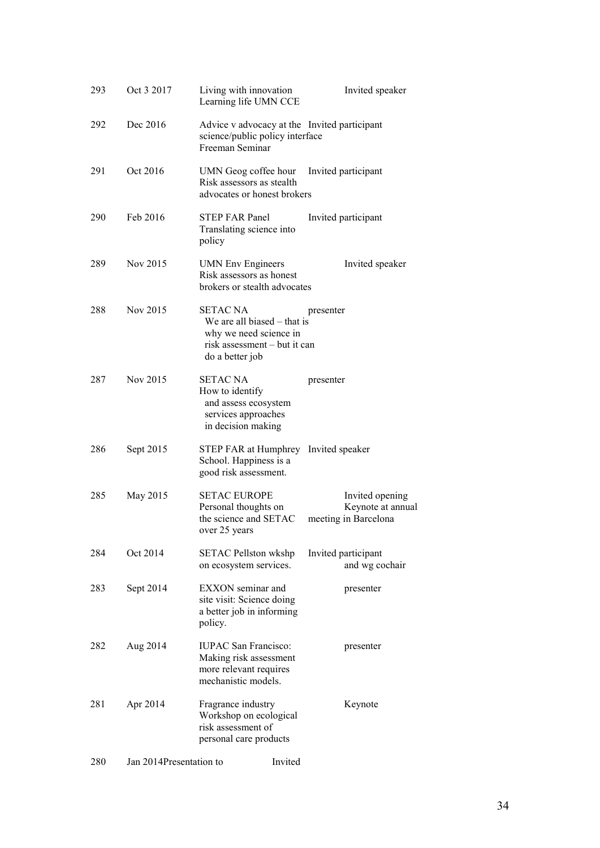| 293 | Oct 3 2017              | Living with innovation<br>Learning life UMN CCE                                                                               | Invited speaker                                              |
|-----|-------------------------|-------------------------------------------------------------------------------------------------------------------------------|--------------------------------------------------------------|
| 292 | Dec 2016                | Advice v advocacy at the Invited participant<br>science/public policy interface<br>Freeman Seminar                            |                                                              |
| 291 | Oct 2016                | UMN Geog coffee hour<br>Risk assessors as stealth<br>advocates or honest brokers                                              | Invited participant                                          |
| 290 | Feb 2016                | <b>STEP FAR Panel</b><br>Translating science into<br>policy                                                                   | Invited participant                                          |
| 289 | Nov 2015                | <b>UMN</b> Env Engineers<br>Risk assessors as honest<br>brokers or stealth advocates                                          | Invited speaker                                              |
| 288 | Nov 2015                | <b>SETAC NA</b><br>We are all biased $-$ that is<br>why we need science in<br>risk assessment – but it can<br>do a better job | presenter                                                    |
| 287 | Nov 2015                | <b>SETAC NA</b><br>How to identify<br>and assess ecosystem<br>services approaches<br>in decision making                       | presenter                                                    |
| 286 | Sept 2015               | STEP FAR at Humphrey Invited speaker<br>School. Happiness is a<br>good risk assessment.                                       |                                                              |
| 285 | May 2015                | <b>SETAC EUROPE</b><br>Personal thoughts on<br>the science and SETAC<br>over 25 years                                         | Invited opening<br>Keynote at annual<br>meeting in Barcelona |
| 284 | Oct 2014                | <b>SETAC Pellston wkshp</b><br>on ecosystem services.                                                                         | Invited participant<br>and wg cochair                        |
| 283 | Sept 2014               | EXXON seminar and<br>site visit: Science doing<br>a better job in informing<br>policy.                                        | presenter                                                    |
| 282 | Aug 2014                | <b>IUPAC</b> San Francisco:<br>Making risk assessment<br>more relevant requires<br>mechanistic models.                        | presenter                                                    |
| 281 | Apr 2014                | Fragrance industry<br>Workshop on ecological<br>risk assessment of<br>personal care products                                  | Keynote                                                      |
| 280 | Jan 2014Presentation to | Invited                                                                                                                       |                                                              |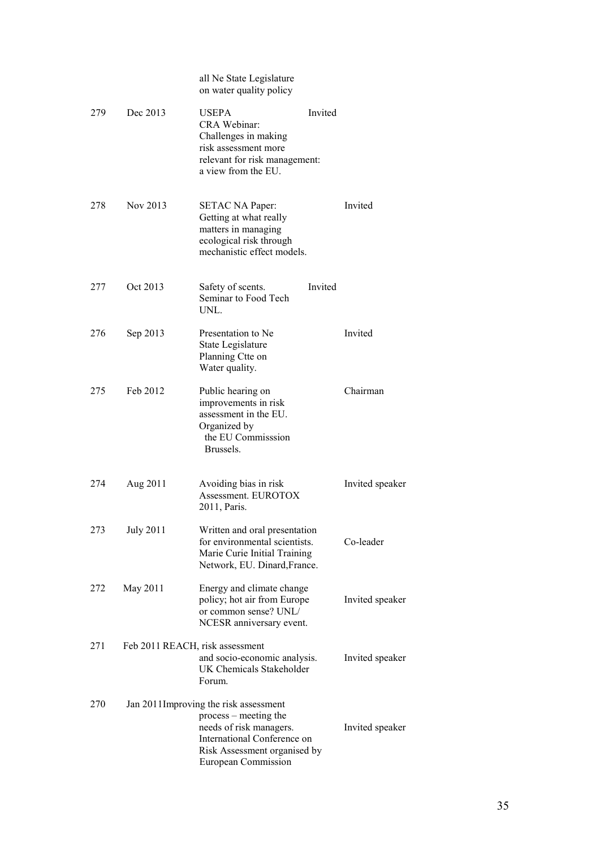|     |                  | all Ne State Legislature<br>on water quality policy                                                                                                                              |         |                 |
|-----|------------------|----------------------------------------------------------------------------------------------------------------------------------------------------------------------------------|---------|-----------------|
| 279 | Dec 2013         | <b>USEPA</b><br><b>CRA Webinar:</b><br>Challenges in making<br>risk assessment more<br>relevant for risk management:<br>a view from the EU.                                      | Invited |                 |
| 278 | Nov 2013         | SETAC NA Paper:<br>Getting at what really<br>matters in managing<br>ecological risk through<br>mechanistic effect models.                                                        |         | Invited         |
| 277 | Oct 2013         | Safety of scents.<br>Seminar to Food Tech<br>UNL.                                                                                                                                | Invited |                 |
| 276 | Sep 2013         | Presentation to Ne<br>State Legislature<br>Planning Ctte on<br>Water quality.                                                                                                    |         | Invited         |
| 275 | Feb 2012         | Public hearing on<br>improvements in risk<br>assessment in the EU.<br>Organized by<br>the EU Commisssion<br>Brussels.                                                            |         | Chairman        |
| 274 | Aug 2011         | Avoiding bias in risk<br>Assessment. EUROTOX<br>2011, Paris.                                                                                                                     |         | Invited speaker |
| 273 | <b>July 2011</b> | Written and oral presentation<br>for environmental scientists.<br>Marie Curie Initial Training<br>Network, EU. Dinard, France.                                                   |         | Co-leader       |
| 272 | May 2011         | Energy and climate change<br>policy; hot air from Europe<br>or common sense? UNL/<br>NCESR anniversary event.                                                                    |         | Invited speaker |
| 271 |                  | Feb 2011 REACH, risk assessment<br>and socio-economic analysis.<br>UK Chemicals Stakeholder<br>Forum.                                                                            |         | Invited speaker |
| 270 |                  | Jan 2011 Improving the risk assessment<br>process – meeting the<br>needs of risk managers.<br>International Conference on<br>Risk Assessment organised by<br>European Commission |         | Invited speaker |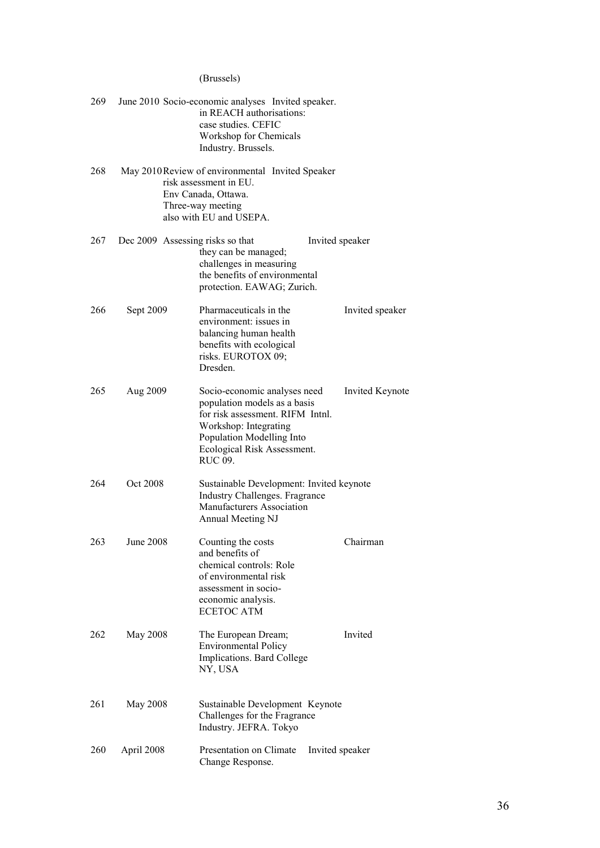## (Brussels)

| 269 |                                  | June 2010 Socio-economic analyses Invited speaker.<br>in REACH authorisations:<br>case studies. CEFIC<br>Workshop for Chemicals<br>Industry. Brussels.                                                  |                 |
|-----|----------------------------------|---------------------------------------------------------------------------------------------------------------------------------------------------------------------------------------------------------|-----------------|
| 268 |                                  | May 2010 Review of environmental Invited Speaker<br>risk assessment in EU.<br>Env Canada, Ottawa.<br>Three-way meeting<br>also with EU and USEPA.                                                       |                 |
| 267 | Dec 2009 Assessing risks so that | they can be managed;<br>challenges in measuring<br>the benefits of environmental<br>protection. EAWAG; Zurich.                                                                                          | Invited speaker |
| 266 | Sept 2009                        | Pharmaceuticals in the<br>environment: issues in<br>balancing human health<br>benefits with ecological<br>risks. EUROTOX 09;<br>Dresden.                                                                | Invited speaker |
| 265 | Aug 2009                         | Socio-economic analyses need<br>population models as a basis<br>for risk assessment. RIFM Intnl.<br>Workshop: Integrating<br>Population Modelling Into<br>Ecological Risk Assessment.<br><b>RUC 09.</b> | Invited Keynote |
| 264 | Oct 2008                         | Sustainable Development: Invited keynote<br>Industry Challenges. Fragrance<br>Manufacturers Association<br>Annual Meeting NJ                                                                            |                 |
| 263 | June 2008                        | Counting the costs<br>and benefits of<br>chemical controls: Role<br>of environmental risk<br>assessment in socio-<br>economic analysis.<br><b>ECETOC ATM</b>                                            | Chairman        |
| 262 | May 2008                         | The European Dream;<br><b>Environmental Policy</b><br>Implications. Bard College<br>NY, USA                                                                                                             | Invited         |
| 261 | May 2008                         | Sustainable Development Keynote<br>Challenges for the Fragrance<br>Industry. JEFRA. Tokyo                                                                                                               |                 |
| 260 | April 2008                       | Presentation on Climate<br>Change Response.                                                                                                                                                             | Invited speaker |